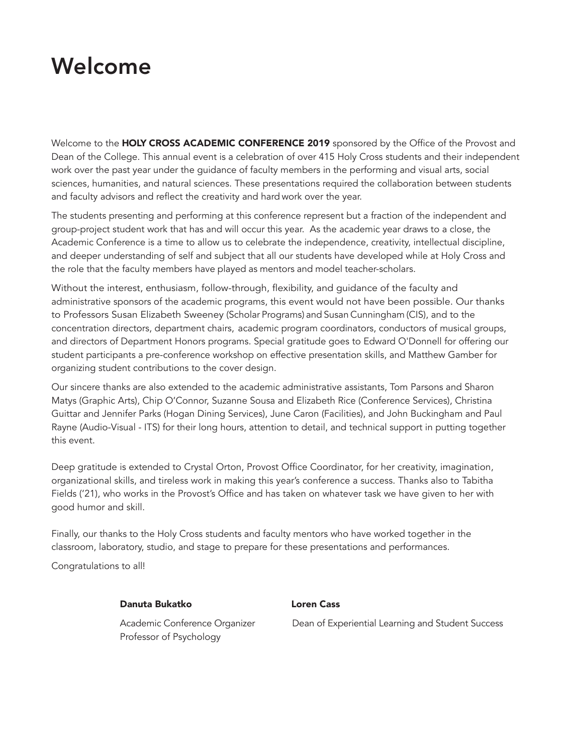# Welcome

Welcome to the HOLY CROSS ACADEMIC CONFERENCE 2019 sponsored by the Office of the Provost and Dean of the College. This annual event is a celebration of over 415 Holy Cross students and their independent work over the past year under the guidance of faculty members in the performing and visual arts, social sciences, humanities, and natural sciences. These presentations required the collaboration between students and faculty advisors and reflect the creativity and hard work over the year.

The students presenting and performing at this conference represent but a fraction of the independent and group-project student work that has and will occur this year. As the academic year draws to a close, the Academic Conference is a time to allow us to celebrate the independence, creativity, intellectual discipline, and deeper understanding of self and subject that all our students have developed while at Holy Cross and the role that the faculty members have played as mentors and model teacher-scholars.

Without the interest, enthusiasm, follow-through, flexibility, and guidance of the faculty and administrative sponsors of the academic programs, this event would not have been possible. Our thanks to Professors Susan Elizabeth Sweeney (Scholar Programs) and Susan Cunningham (CIS), and to the concentration directors, department chairs, academic program coordinators, conductors of musical groups, and directors of Department Honors programs. Special gratitude goes to Edward O'Donnell for offering our student participants a pre-conference workshop on effective presentation skills, and Matthew Gamber for organizing student contributions to the cover design.

Our sincere thanks are also extended to the academic administrative assistants, Tom Parsons and Sharon Matys (Graphic Arts), Chip O'Connor, Suzanne Sousa and Elizabeth Rice (Conference Services), Christina Guittar and Jennifer Parks (Hogan Dining Services), June Caron (Facilities), and John Buckingham and Paul Rayne (Audio-Visual - ITS) for their long hours, attention to detail, and technical support in putting together this event.

Deep gratitude is extended to Crystal Orton, Provost Office Coordinator, for her creativity, imagination, organizational skills, and tireless work in making this year's conference a success. Thanks also to Tabitha Fields ('21), who works in the Provost's Office and has taken on whatever task we have given to her with good humor and skill.

Finally, our thanks to the Holy Cross students and faculty mentors who have worked together in the classroom, laboratory, studio, and stage to prepare for these presentations and performances.

Congratulations to all!

#### Danuta Bukatko Loren Cass

Professor of Psychology

Academic Conference Organizer Dean of Experiential Learning and Student Success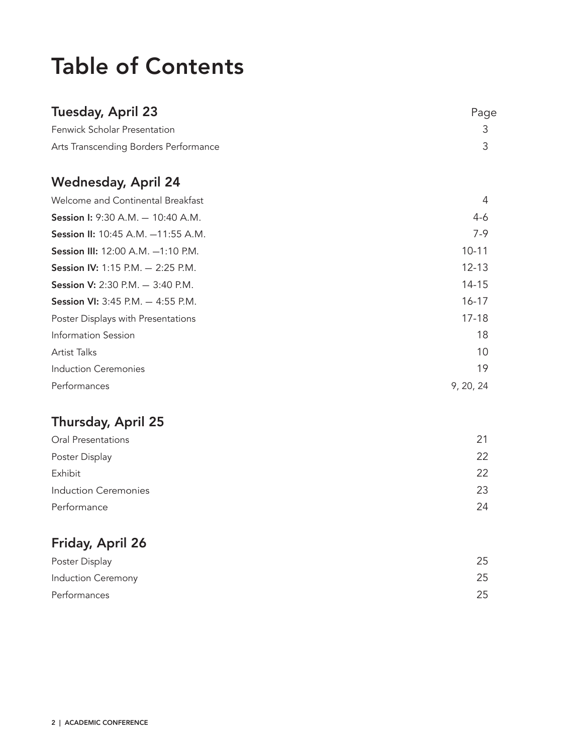# Table of Contents

| Tuesday, April 23                        | Page      |
|------------------------------------------|-----------|
| <b>Fenwick Scholar Presentation</b>      | 3         |
| Arts Transcending Borders Performance    | 3         |
| <b>Wednesday, April 24</b>               |           |
| Welcome and Continental Breakfast        | 4         |
| <b>Session I: 9:30 A.M. - 10:40 A.M.</b> | $4-6$     |
| Session II: 10:45 A.M. -11:55 A.M.       | 7-9       |
| Session III: 12:00 A.M. -1:10 P.M.       | $10 - 11$ |
| <b>Session IV:</b> 1:15 P.M. - 2:25 P.M. | $12 - 13$ |
| <b>Session V:</b> 2:30 P.M. - 3:40 P.M.  | 14-15     |
| <b>Session VI:</b> 3:45 P.M. - 4:55 P.M. | $16 - 17$ |
| Poster Displays with Presentations       | $17 - 18$ |
| Information Session                      | 18        |
| <b>Artist Talks</b>                      | 10        |
| <b>Induction Ceremonies</b>              | 19        |
| Performances                             | 9, 20, 24 |

## Thursday, April 25

| Oral Presentations   | 21 |
|----------------------|----|
| Poster Display       | 22 |
| Exhibit              | 22 |
| Induction Ceremonies | 23 |
| Performance          | 24 |
|                      |    |

## Friday, April 26

| Poster Display     | 25 |
|--------------------|----|
| Induction Ceremony | 25 |
| Performances       | 25 |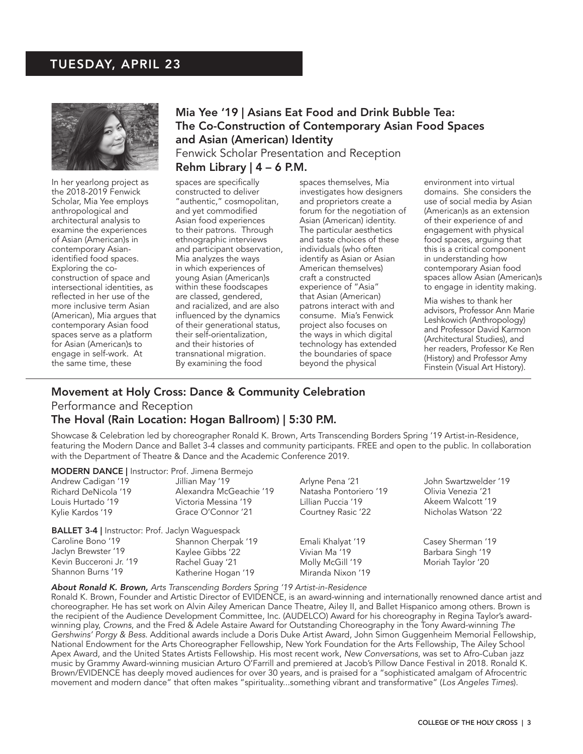### TUESDAY, APRIL 23



In her yearlong project as the 2018-2019 Fenwick Scholar, Mia Yee employs anthropological and architectural analysis to examine the experiences of Asian (American)s in contemporary Asianidentified food spaces. Exploring the coconstruction of space and intersectional identities, as reflected in her use of the more inclusive term Asian (American), Mia argues that contemporary Asian food spaces serve as a platform for Asian (American)s to engage in self-work. At the same time, these

### Mia Yee '19 | Asians Eat Food and Drink Bubble Tea: The Co-Construction of Contemporary Asian Food Spaces and Asian (American) Identity Fenwick Scholar Presentation and Reception

#### Rehm Library  $| 4 - 6$  P.M.

spaces are specifically constructed to deliver "authentic," cosmopolitan, and yet commodified Asian food experiences to their patrons. Through ethnographic interviews and participant observation, Mia analyzes the ways in which experiences of young Asian (American)s within these foodscapes are classed, gendered, and racialized, and are also influenced by the dynamics of their generational status, their self-orientalization, and their histories of transnational migration. By examining the food

spaces themselves, Mia investigates how designers and proprietors create a forum for the negotiation of Asian (American) identity. The particular aesthetics and taste choices of these individuals (who often identify as Asian or Asian American themselves) craft a constructed experience of "Asia" that Asian (American) patrons interact with and consume. Mia's Fenwick project also focuses on the ways in which digital technology has extended the boundaries of space beyond the physical

environment into virtual domains. She considers the use of social media by Asian (American)s as an extension of their experience of and engagement with physical food spaces, arguing that this is a critical component in understanding how contemporary Asian food spaces allow Asian (American)s to engage in identity making.

Mia wishes to thank her advisors, Professor Ann Marie Leshkowich (Anthropology) and Professor David Karmon (Architectural Studies), and her readers, Professor Ke Ren (History) and Professor Amy Finstein (Visual Art History).

## Movement at Holy Cross: Dance & Community Celebration Performance and Reception

#### The Hoval (Rain Location: Hogan Ballroom) | 5:30 P.M.

Showcase & Celebration led by choreographer Ronald K. Brown, Arts Transcending Borders Spring '19 Artist-in-Residence, featuring the Modern Dance and Ballet 3-4 classes and community participants. FREE and open to the public. In collaboration with the Department of Theatre & Dance and the Academic Conference 2019.

| <b>MODERN DANCE</b>   Instructor: Prof. Jimena Bermejo  |                        |                       |
|---------------------------------------------------------|------------------------|-----------------------|
| Jillian May '19                                         | Arlyne Pena '21        | John Swartzwelder '19 |
| Alexandra McGeachie '19                                 | Natasha Pontoriero '19 | Olivia Venezia '21    |
| Victoria Messina '19                                    | Lillian Puccia '19     | Akeem Walcott '19     |
| Grace O'Connor '21                                      | Courtney Rasic '22     | Nicholas Watson '22   |
| <b>BALLET 3-4   Instructor: Prof. Jaclyn Waguespack</b> |                        |                       |
| Shannon Cherpak '19                                     | Emali Khalyat '19      | Casey Sherman '19     |
| Kaylee Gibbs '22                                        | Vivian Ma '19          | Barbara Singh '19     |
| Rachel Guay '21                                         | Molly McGill '19       | Moriah Taylor '20     |
| Katherine Hogan '19                                     | Miranda Nixon '19      |                       |
|                                                         |                        |                       |

#### *About Ronald K. Brown, Arts Transcending Borders Spring '19 Artist-in-Residence*

Ronald K. Brown, Founder and Artistic Director of EVIDENCE, is an award-winning and internationally renowned dance artist and choreographer. He has set work on Alvin Ailey American Dance Theatre, Ailey II, and Ballet Hispanico among others. Brown is the recipient of the Audience Development Committee, Inc. (AUDELCO) Award for his choreography in Regina Taylor's awardwinning play, *Crowns*, and the Fred & Adele Astaire Award for Outstanding Choreography in the Tony Award-winning *The Gershwins' Porgy & Bess*. Additional awards include a Doris Duke Artist Award, John Simon Guggenheim Memorial Fellowship, National Endowment for the Arts Choreographer Fellowship, New York Foundation for the Arts Fellowship, The Ailey School Apex Award, and the United States Artists Fellowship. His most recent work, *New Conversations*, was set to Afro-Cuban jazz music by Grammy Award-winning musician Arturo O'Farrill and premiered at Jacob's Pillow Dance Festival in 2018. Ronald K. Brown/EVIDENCE has deeply moved audiences for over 30 years, and is praised for a "sophisticated amalgam of Afrocentric movement and modern dance" that often makes "spirituality...something vibrant and transformative" (*Los Angeles Times*).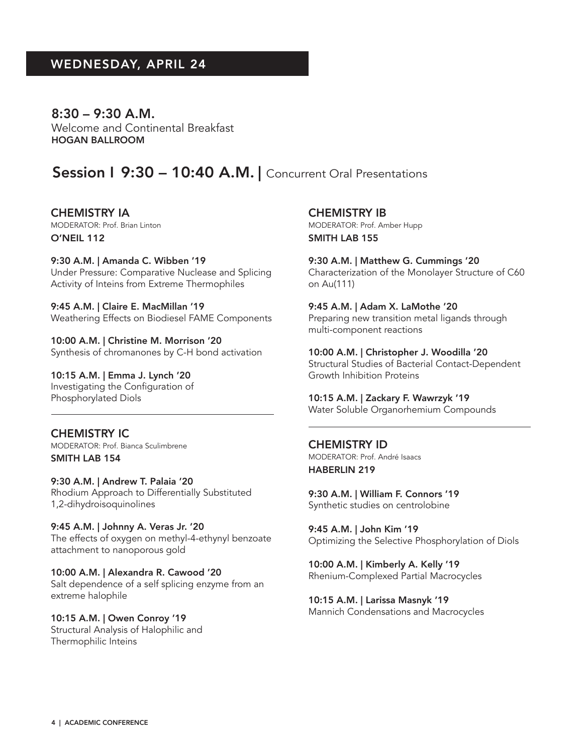$8:30 - 9:30$  A.M. Welcome and Continental Breakfast HOGAN BALLROOM

## Session 1 9:30 - 10:40 A.M. | Concurrent Oral Presentations

CHEMISTRY IA MODERATOR: Prof. Brian Linton O'NEIL 112

9:30 A.M. | Amanda C. Wibben '19 Under Pressure: Comparative Nuclease and Splicing Activity of Inteins from Extreme Thermophiles

9:45 A.M. | Claire E. MacMillan '19 Weathering Effects on Biodiesel FAME Components

10:00 A.M. | Christine M. Morrison '20 Synthesis of chromanones by C-H bond activation

10:15 A.M. | Emma J. Lynch '20 Investigating the Configuration of Phosphorylated Diols

CHEMISTRY IC MODERATOR: Prof. Bianca Sculimbrene SMITH LAB 154

9:30 A.M. | Andrew T. Palaia '20 Rhodium Approach to Differentially Substituted 1,2-dihydroisoquinolines

9:45 A.M. | Johnny A. Veras Jr. '20 The effects of oxygen on methyl-4-ethynyl benzoate attachment to nanoporous gold

10:00 A.M. | Alexandra R. Cawood '20 Salt dependence of a self splicing enzyme from an extreme halophile

10:15 A.M. | Owen Conroy '19 Structural Analysis of Halophilic and Thermophilic Inteins

CHEMISTRY IB MODERATOR: Prof. Amber Hupp SMITH LAB 155

9:30 A.M. | Matthew G. Cummings '20 Characterization of the Monolayer Structure of C60 on Au(111)

9:45 A.M. | Adam X. LaMothe '20 Preparing new transition metal ligands through multi-component reactions

10:00 A.M. | Christopher J. Woodilla '20 Structural Studies of Bacterial Contact-Dependent Growth Inhibition Proteins

10:15 A.M. | Zackary F. Wawrzyk '19 Water Soluble Organorhemium Compounds

CHEMISTRY ID MODERATOR: Prof. André Isaacs HABERLIN 219

9:30 A.M. | William F. Connors '19 Synthetic studies on centrolobine

9:45 A.M. | John Kim '19 Optimizing the Selective Phosphorylation of Diols

10:00 A.M. | Kimberly A. Kelly '19 Rhenium-Complexed Partial Macrocycles

10:15 A.M. | Larissa Masnyk '19 Mannich Condensations and Macrocycles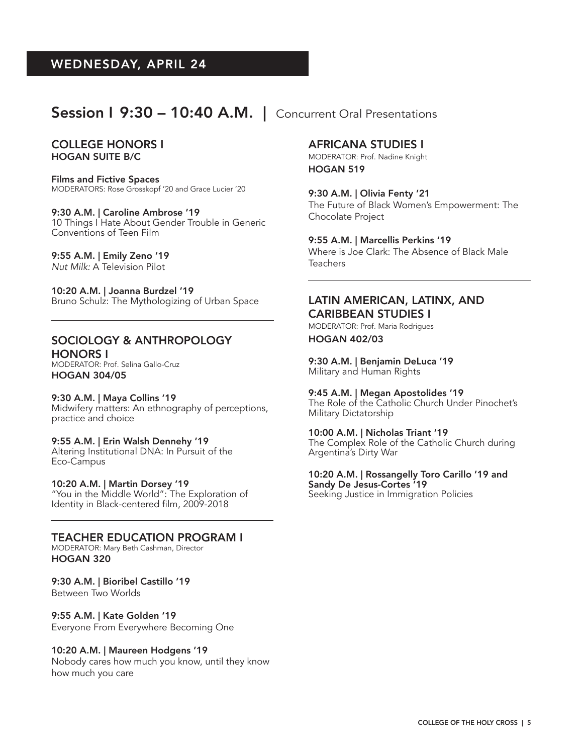## Session I 9:30 – 10:40 A.M. | Concurrent Oral Presentations

#### COLLEGE HONORS I HOGAN SUITE B/C

Films and Fictive Spaces MODERATORS: Rose Grosskopf '20 and Grace Lucier '20

9:30 A.M. | Caroline Ambrose '19 10 Things I Hate About Gender Trouble in Generic Conventions of Teen Film

9:55 A.M. | Emily Zeno '19

*Nut Milk:* A Television Pilot

10:20 A.M. | Joanna Burdzel '19 Bruno Schulz: The Mythologizing of Urban Space

#### SOCIOLOGY & ANTHROPOLOGY HONORS I

MODERATOR: Prof. Selina Gallo-Cruz HOGAN 304/05

9:30 A.M. | Maya Collins '19 Midwifery matters: An ethnography of perceptions, practice and choice

9:55 A.M. | Erin Walsh Dennehy '19 Altering Institutional DNA: In Pursuit of the Eco-Campus

10:20 A.M. | Martin Dorsey '19 "You in the Middle World": The Exploration of Identity in Black-centered film, 2009-2018

TEACHER EDUCATION PROGRAM I MODERATOR: Mary Beth Cashman, Director HOGAN 320

9:30 A.M. | Bioribel Castillo '19 Between Two Worlds

9:55 A.M. | Kate Golden '19 Everyone From Everywhere Becoming One

#### 10:20 A.M. | Maureen Hodgens '19

Nobody cares how much you know, until they know how much you care

AFRICANA STUDIES I

MODERATOR: Prof. Nadine Knight HOGAN 519

9:30 A.M. | Olivia Fenty '21 The Future of Black Women's Empowerment: The Chocolate Project

9:55 A.M. | Marcellis Perkins '19 Where is Joe Clark: The Absence of Black Male **Teachers** 

#### LATIN AMERICAN, LATINX, AND CARIBBEAN STUDIES I

MODERATOR: Prof. Maria Rodrigues HOGAN 402/03

9:30 A.M. | Benjamin DeLuca '19 Military and Human Rights

9:45 A.M. | Megan Apostolides '19 The Role of the Catholic Church Under Pinochet's Military Dictatorship

10:00 A.M. | Nicholas Triant '19 The Complex Role of the Catholic Church during Argentina's Dirty War

10:20 A.M. | Rossangelly Toro Carillo '19 and Sandy De Jesus-Cortes '19 Seeking Justice in Immigration Policies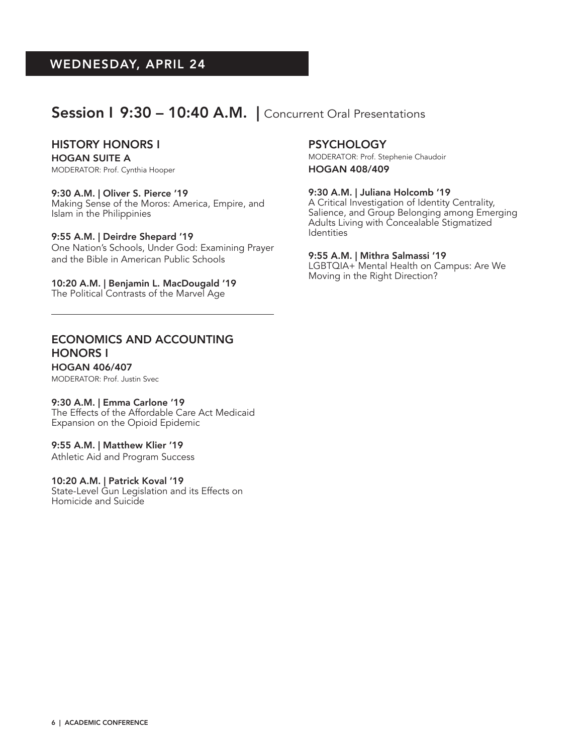## Session I 9:30 - 10:40 A.M. | Concurrent Oral Presentations

#### HISTORY HONORS I

HOGAN SUITE A MODERATOR: Prof. Cynthia Hooper

#### 9:30 A.M. | Oliver S. Pierce '19

Making Sense of the Moros: America, Empire, and Islam in the Philippinies

#### 9:55 A.M. | Deirdre Shepard '19

One Nation's Schools, Under God: Examining Prayer and the Bible in American Public Schools

10:20 A.M. | Benjamin L. MacDougald '19

The Political Contrasts of the Marvel Age

#### **PSYCHOLOGY**

MODERATOR: Prof. Stephenie Chaudoir

HOGAN 408/409

#### 9:30 A.M. | Juliana Holcomb '19

A Critical Investigation of Identity Centrality, Salience, and Group Belonging among Emerging Adults Living with Concealable Stigmatized Identities

#### 9:55 A.M. | Mithra Salmassi '19

LGBTQIA+ Mental Health on Campus: Are We Moving in the Right Direction?

### ECONOMICS AND ACCOUNTING HONORS I

HOGAN 406/407 MODERATOR: Prof. Justin Svec

#### 9:30 A.M. | Emma Carlone '19

The Effects of the Affordable Care Act Medicaid Expansion on the Opioid Epidemic

#### 9:55 A.M. | Matthew Klier '19

Athletic Aid and Program Success

#### 10:20 A.M. | Patrick Koval '19

State-Level Gun Legislation and its Effects on Homicide and Suicide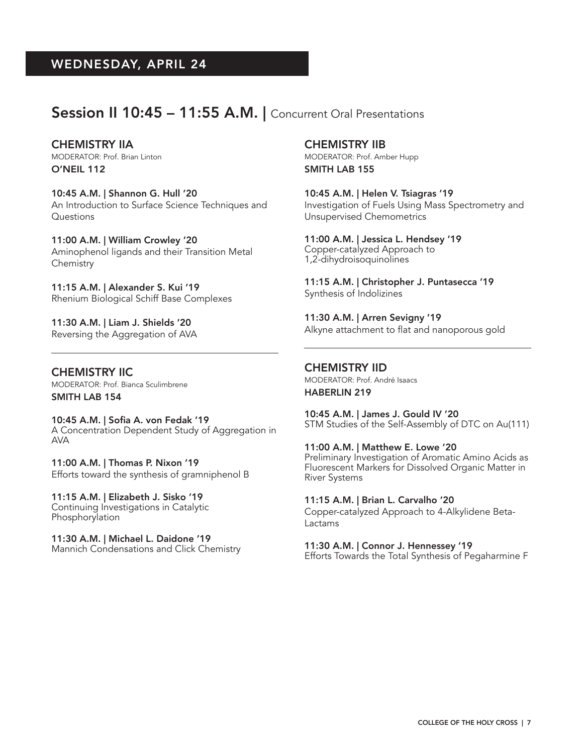## Session II 10:45 - 11:55 A.M. | Concurrent Oral Presentations

CHEMISTRY IIA MODERATOR: Prof. Brian Linton O'NEIL 112

10:45 A.M. | Shannon G. Hull '20 An Introduction to Surface Science Techniques and Questions

11:00 A.M. | William Crowley '20 Aminophenol ligands and their Transition Metal **Chemistry** 

11:15 A.M. | Alexander S. Kui '19 Rhenium Biological Schiff Base Complexes

11:30 A.M. | Liam J. Shields '20 Reversing the Aggregation of AVA

CHEMISTRY IIC MODERATOR: Prof. Bianca Sculimbrene SMITH LAB 154

10:45 A.M. | Sofia A. von Fedak '19 A Concentration Dependent Study of Aggregation in AVA

11:00 A.M. | Thomas P. Nixon '19 Efforts toward the synthesis of gramniphenol B

11:15 A.M. | Elizabeth J. Sisko '19 Continuing Investigations in Catalytic Phosphorylation

11:30 A.M. | Michael L. Daidone '19 Mannich Condensations and Click Chemistry CHEMISTRY IIB MODERATOR: Prof. Amber Hupp SMITH LAB 155

10:45 A.M. | Helen V. Tsiagras '19 Investigation of Fuels Using Mass Spectrometry and Unsupervised Chemometrics

11:00 A.M. | Jessica L. Hendsey '19 Copper-catalyzed Approach to 1,2-dihydroisoquinolines

11:15 A.M. | Christopher J. Puntasecca '19 Synthesis of Indolizines

11:30 A.M. | Arren Sevigny '19 Alkyne attachment to flat and nanoporous gold

#### CHEMISTRY IID MODERATOR: Prof. André Isaacs HABERLIN 219

10:45 A.M. | James J. Gould IV '20 STM Studies of the Self-Assembly of DTC on Au(111)

11:00 A.M. | Matthew E. Lowe '20 Preliminary Investigation of Aromatic Amino Acids as Fluorescent Markers for Dissolved Organic Matter in River Systems

11:15 A.M. | Brian L. Carvalho '20 Copper-catalyzed Approach to 4-Alkylidene Beta-Lactams

11:30 A.M. | Connor J. Hennessey '19 Efforts Towards the Total Synthesis of Pegaharmine F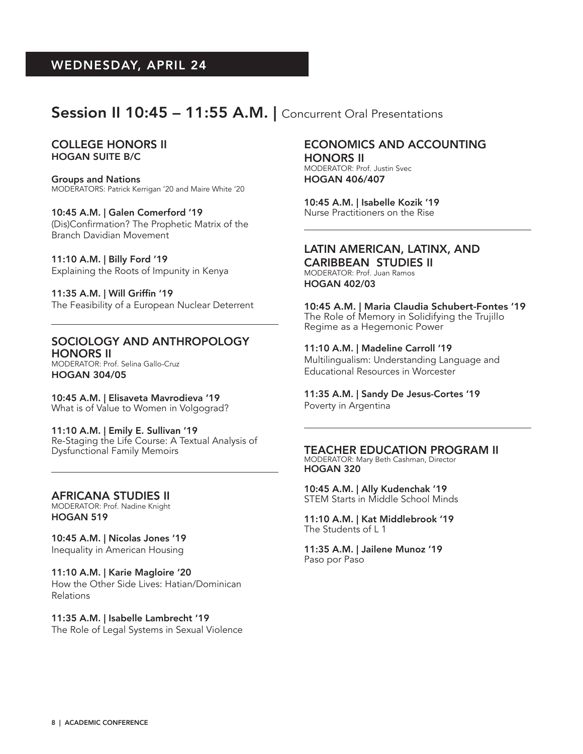## Session II 10:45 - 11:55 A.M. | Concurrent Oral Presentations

#### COLLEGE HONORS II HOGAN SUITE B/C

Groups and Nations MODERATORS: Patrick Kerrigan '20 and Maire White '20

10:45 A.M. | Galen Comerford '19 (Dis)Confirmation? The Prophetic Matrix of the Branch Davidian Movement

11:10 A.M. | Billy Ford '19 Explaining the Roots of Impunity in Kenya

11:35 A.M. | Will Griffin '19 The Feasibility of a European Nuclear Deterrent

#### SOCIOLOGY AND ANTHROPOLOGY HONORS II

MODERATOR: Prof. Selina Gallo-Cruz HOGAN 304/05

10:45 A.M. | Elisaveta Mavrodieva '19 What is of Value to Women in Volgograd?

11:10 A.M. | Emily E. Sullivan '19 Re-Staging the Life Course: A Textual Analysis of Dysfunctional Family Memoirs

AFRICANA STUDIES II MODERATOR: Prof. Nadine Knight HOGAN 519

10:45 A.M. | Nicolas Jones '19 Inequality in American Housing

11:10 A.M. | Karie Magloire '20 How the Other Side Lives: Hatian/Dominican Relations

11:35 A.M. | Isabelle Lambrecht '19 The Role of Legal Systems in Sexual Violence

#### ECONOMICS AND ACCOUNTING HONORS II

MODERATOR: Prof. Justin Svec HOGAN 406/407

10:45 A.M. | Isabelle Kozik '19 Nurse Practitioners on the Rise

### LATIN AMERICAN, LATINX, AND

CARIBBEAN STUDIES II MODERATOR: Prof. Juan Ramos HOGAN 402/03

10:45 A.M. | Maria Claudia Schubert-Fontes '19 The Role of Memory in Solidifying the Trujillo Regime as a Hegemonic Power

11:10 A.M. | Madeline Carroll '19 Multilingualism: Understanding Language and Educational Resources in Worcester

11:35 A.M. | Sandy De Jesus-Cortes '19

Poverty in Argentina

TEACHER EDUCATION PROGRAM II MODERATOR: Mary Beth Cashman, Director HOGAN 320

10:45 A.M. | Ally Kudenchak '19 STEM Starts in Middle School Minds

11:10 A.M. | Kat Middlebrook '19 The Students of L 1

11:35 A.M. | Jailene Munoz '19 Paso por Paso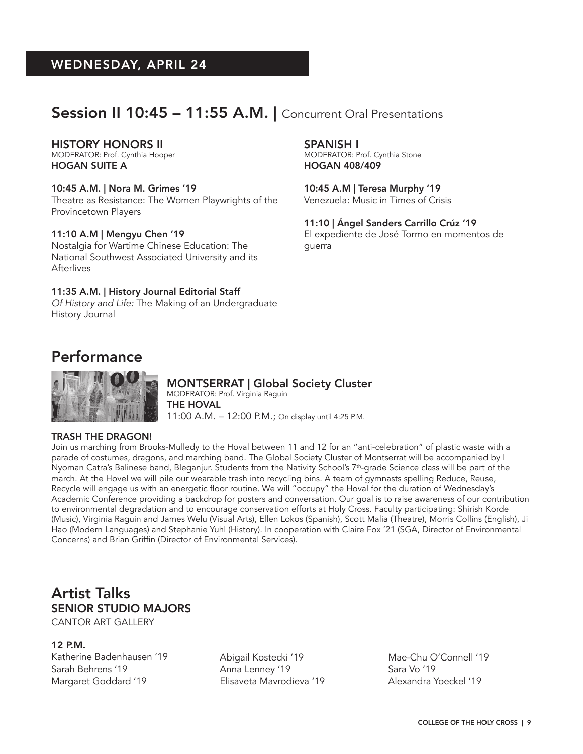## Session II 10:45 - 11:55 A.M. | Concurrent Oral Presentations

#### HISTORY HONORS II

MODERATOR: Prof. Cynthia Hooper HOGAN SUITE A

#### 10:45 A.M. | Nora M. Grimes '19

Theatre as Resistance: The Women Playwrights of the Provincetown Players

#### 11:10 A.M | Mengyu Chen '19

Nostalgia for Wartime Chinese Education: The National Southwest Associated University and its **Afterlives** 

#### 11:35 A.M. | History Journal Editorial Staff

*Of History and Life:* The Making of an Undergraduate History Journal

#### SPANISH I

MODERATOR: Prof. Cynthia Stone HOGAN 408/409

10:45 A.M | Teresa Murphy '19 Venezuela: Music in Times of Crisis

11:10 | Ángel Sanders Carrillo Crúz '19 El expediente de José Tormo en momentos de guerra

## Performance



### MONTSERRAT | Global Society Cluster

MODERATOR: Prof. Virginia Raguin THE HOVAL 11:00 A.M. – 12:00 P.M.; On display until 4:25 P.M.

#### TRASH THE DRAGON!

Join us marching from Brooks-Mulledy to the Hoval between 11 and 12 for an "anti-celebration" of plastic waste with a parade of costumes, dragons, and marching band. The Global Society Cluster of Montserrat will be accompanied by I Nyoman Catra's Balinese band, Bleganjur. Students from the Nativity School's 7<sup>th</sup>-grade Science class will be part of the march. At the Hovel we will pile our wearable trash into recycling bins. A team of gymnasts spelling Reduce, Reuse, Recycle will engage us with an energetic floor routine. We will "occupy" the Hoval for the duration of Wednesday's Academic Conference providing a backdrop for posters and conversation. Our goal is to raise awareness of our contribution to environmental degradation and to encourage conservation efforts at Holy Cross. Faculty participating: Shirish Korde (Music), Virginia Raguin and James Welu (Visual Arts), Ellen Lokos (Spanish), Scott Malia (Theatre), Morris Collins (English), Ji Hao (Modern Languages) and Stephanie Yuhl (History). In cooperation with Claire Fox '21 (SGA, Director of Environmental Concerns) and Brian Griffin (Director of Environmental Services).

## Artist Talks SENIOR STUDIO MAJORS

CANTOR ART GALLERY

#### 12 P.M.

Katherine Badenhausen '19 Sarah Behrens '19 Margaret Goddard '19

Abigail Kostecki '19 Anna Lenney '19 Elisaveta Mavrodieva '19

Mae-Chu O'Connell '19 Sara Vo '19 Alexandra Yoeckel '19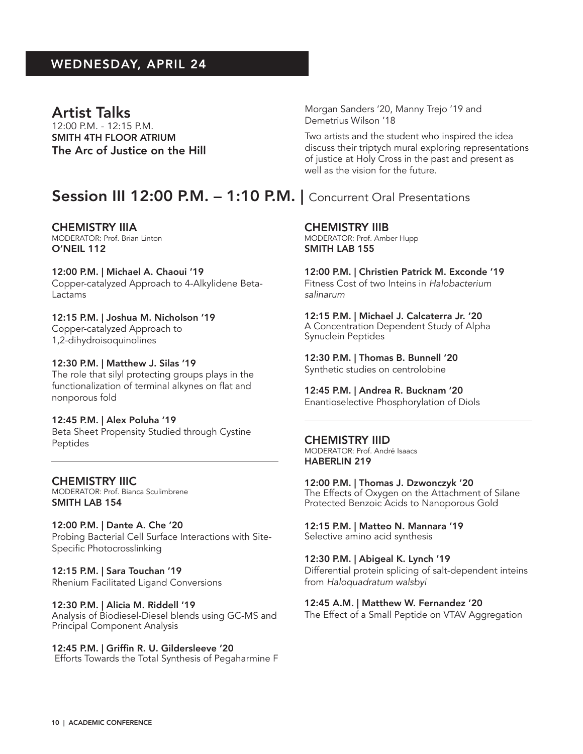### Artist Talks

12:00 P.M. - 12:15 P.M. SMITH 4TH FLOOR ATRIUM The Arc of Justice on the Hill Morgan Sanders '20, Manny Trejo '19 and Demetrius Wilson '18

Two artists and the student who inspired the idea discuss their triptych mural exploring representations of justice at Holy Cross in the past and present as well as the vision for the future.

## Session III 12:00 P.M. - 1:10 P.M. | Concurrent Oral Presentations

CHEMISTRY IIIA MODERATOR: Prof. Brian Linton O'NEIL 112

12:00 P.M. | Michael A. Chaoui '19 Copper-catalyzed Approach to 4-Alkylidene Beta-Lactams

### 12:15 P.M. | Joshua M. Nicholson '19 Copper-catalyzed Approach to

1,2-dihydroisoquinolines

12:30 P.M. | Matthew J. Silas '19 The role that silyl protecting groups plays in the functionalization of terminal alkynes on flat and nonporous fold

#### 12:45 P.M. | Alex Poluha '19

Beta Sheet Propensity Studied through Cystine Peptides

## CHEMISTRY IIIC

MODERATOR: Prof. Bianca Sculimbrene SMITH LAB 154

12:00 P.M. | Dante A. Che '20 Probing Bacterial Cell Surface Interactions with Site-Specific Photocrosslinking

12:15 P.M. | Sara Touchan '19 Rhenium Facilitated Ligand Conversions

#### 12:30 P.M. | Alicia M. Riddell '19

Analysis of Biodiesel-Diesel blends using GC-MS and Principal Component Analysis

12:45 P.M. | Griffin R. U. Gildersleeve '20 Efforts Towards the Total Synthesis of Pegaharmine F

#### CHEMISTRY IIIB

MODERATOR: Prof. Amber Hupp SMITH LAB 155

12:00 P.M. | Christien Patrick M. Exconde '19 Fitness Cost of two Inteins in *Halobacterium salinarum*

12:15 P.M. | Michael J. Calcaterra Jr. '20 A Concentration Dependent Study of Alpha Synuclein Peptides

12:30 P.M. | Thomas B. Bunnell '20 Synthetic studies on centrolobine

12:45 P.M. | Andrea R. Bucknam '20 Enantioselective Phosphorylation of Diols

#### CHEMISTRY IIID

MODERATOR: Prof. André Isaacs HABERLIN 219

12:00 P.M. | Thomas J. Dzwonczyk '20 The Effects of Oxygen on the Attachment of Silane Protected Benzoic Acids to Nanoporous Gold

12:15 P.M. | Matteo N. Mannara '19 Selective amino acid synthesis

12:30 P.M. | Abigeal K. Lynch '19 Differential protein splicing of salt-dependent inteins from *Haloquadratum walsbyi*

12:45 A.M. | Matthew W. Fernandez '20 The Effect of a Small Peptide on VTAV Aggregation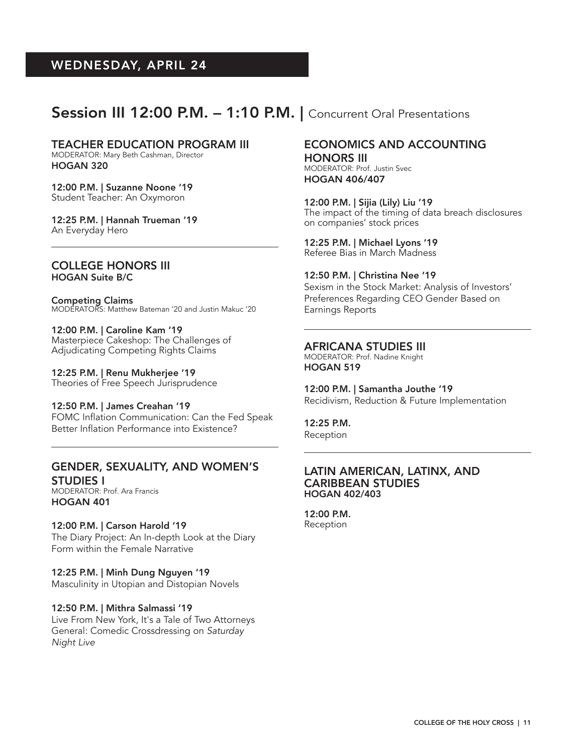## Session III 12:00 P.M. - 1:10 P.M. | Concurrent Oral Presentations

#### TEACHER EDUCATION PROGRAM III

MODERATOR: Mary Beth Cashman, Director HOGAN 320

12:00 P.M. | Suzanne Noone '19 Student Teacher: An Oxymoron

12:25 P.M. | Hannah Trueman '19 An Everyday Hero

#### COLLEGE HONORS III HOGAN Suite B/C

Competing Claims MODERATORS: Matthew Bateman '20 and Justin Makuc '20

12:00 P.M. | Caroline Kam '19 Masterpiece Cakeshop: The Challenges of Adjudicating Competing Rights Claims

12:25 P.M. | Renu Mukherjee '19 Theories of Free Speech Jurisprudence

#### 12:50 P.M. | James Creahan '19 FOMC Inflation Communication: Can the Fed Speak Better Inflation Performance into Existence?

#### GENDER, SEXUALITY, AND WOMEN'S STUDIES I

MODERATOR: Prof. Ara Francis HOGAN 401

#### 12:00 P.M. | Carson Harold '19

The Diary Project: An In-depth Look at the Diary Form within the Female Narrative

#### 12:25 P.M. | Minh Dung Nguyen '19

Masculinity in Utopian and Distopian Novels

#### 12:50 P.M. | Mithra Salmassi '19

Live From New York, It's a Tale of Two Attorneys General: Comedic Crossdressing on *Saturday Night Live*

#### ECONOMICS AND ACCOUNTING HONORS III

MODERATOR: Prof. Justin Svec HOGAN 406/407

12:00 P.M. | Sijia (Lily) Liu '19 The impact of the timing of data breach disclosures on companies' stock prices

12:25 P.M. | Michael Lyons '19 Referee Bias in March Madness

12:50 P.M. | Christina Nee '19

Sexism in the Stock Market: Analysis of Investors' Preferences Regarding CEO Gender Based on Earnings Reports

#### AFRICANA STUDIES III

MODERATOR: Prof. Nadine Knight HOGAN 519

12:00 P.M. | Samantha Jouthe '19 Recidivism, Reduction & Future Implementation

12:25 P.M. Reception

#### LATIN AMERICAN, LATINX, AND CARIBBEAN STUDIES HOGAN 402/403

12:00 P.M. Reception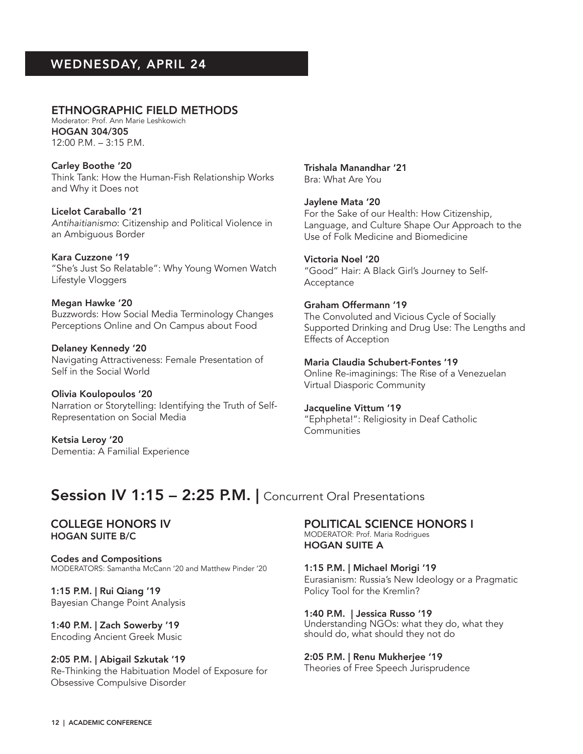#### ETHNOGRAPHIC FIELD METHODS Moderator: Prof. Ann Marie Leshkowich

HOGAN 304/305 12:00 P.M. – 3:15 P.M.

Carley Boothe '20 Think Tank: How the Human-Fish Relationship Works and Why it Does not

Licelot Caraballo '21 *Antihaitianismo*: Citizenship and Political Violence in an Ambiguous Border

Kara Cuzzone '19 "She's Just So Relatable": Why Young Women Watch Lifestyle Vloggers

Megan Hawke '20 Buzzwords: How Social Media Terminology Changes Perceptions Online and On Campus about Food

Delaney Kennedy '20 Navigating Attractiveness: Female Presentation of Self in the Social World

Olivia Koulopoulos '20 Narration or Storytelling: Identifying the Truth of Self-Representation on Social Media

Ketsia Leroy '20 Dementia: A Familial Experience Trishala Manandhar '21 Bra: What Are You

Jaylene Mata '20 For the Sake of our Health: How Citizenship, Language, and Culture Shape Our Approach to the Use of Folk Medicine and Biomedicine

Victoria Noel '20 "Good" Hair: A Black Girl's Journey to Self-Acceptance

#### Graham Offermann '19 The Convoluted and Vicious Cycle of Socially Supported Drinking and Drug Use: The Lengths and Effects of Acception

Maria Claudia Schubert-Fontes '19 Online Re-imaginings: The Rise of a Venezuelan Virtual Diasporic Community

#### Jacqueline Vittum '19

"Ephpheta!": Religiosity in Deaf Catholic **Communities** 

## Session IV 1:15 - 2:25 P.M. | Concurrent Oral Presentations

COLLEGE HONORS IV HOGAN SUITE B/C

Codes and Compositions MODERATORS: Samantha McCann '20 and Matthew Pinder '20

1:15 P.M. | Rui Qiang '19 Bayesian Change Point Analysis

1:40 P.M. | Zach Sowerby '19 Encoding Ancient Greek Music

2:05 P.M. | Abigail Szkutak '19 Re-Thinking the Habituation Model of Exposure for Obsessive Compulsive Disorder

POLITICAL SCIENCE HONORS I MODERATOR: Prof. Maria Rodrigues HOGAN SUITE A

1:15 P.M. | Michael Morigi '19 Eurasianism: Russia's New Ideology or a Pragmatic Policy Tool for the Kremlin?

1:40 P.M. | Jessica Russo '19 Understanding NGOs: what they do, what they should do, what should they not do

2:05 P.M. | Renu Mukherjee '19 Theories of Free Speech Jurisprudence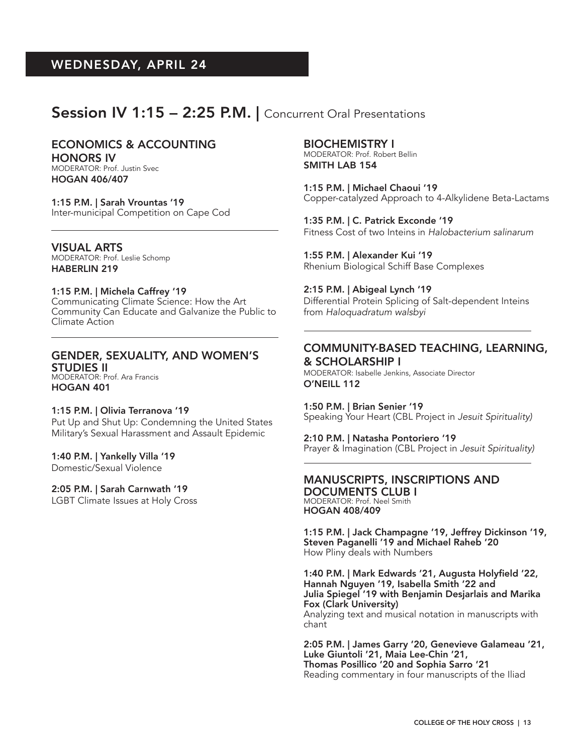## Session IV 1:15 - 2:25 P.M. | Concurrent Oral Presentations

#### ECONOMICS & ACCOUNTING HONORS IV

MODERATOR: Prof. Justin Svec HOGAN 406/407

1:15 P.M. | Sarah Vrountas '19 Inter-municipal Competition on Cape Cod

VISUAL ARTS MODERATOR: Prof. Leslie Schomp HABERLIN 219

#### 1:15 P.M. | Michela Caffrey '19

Communicating Climate Science: How the Art Community Can Educate and Galvanize the Public to Climate Action

### GENDER, SEXUALITY, AND WOMEN'S STUDIES II

MODERATOR: Prof. Ara Francis HOGAN 401

#### 1:15 P.M. | Olivia Terranova '19

Put Up and Shut Up: Condemning the United States Military's Sexual Harassment and Assault Epidemic

#### 1:40 P.M. | Yankelly Villa '19

Domestic/Sexual Violence

#### 2:05 P.M. | Sarah Carnwath '19

LGBT Climate Issues at Holy Cross

#### BIOCHEMISTRY I

MODERATOR: Prof. Robert Bellin SMITH LAB 154

1:15 P.M. | Michael Chaoui '19 Copper-catalyzed Approach to 4-Alkylidene Beta-Lactams

1:35 P.M. | C. Patrick Exconde '19 Fitness Cost of two Inteins in *Halobacterium salinarum*

1:55 P.M. | Alexander Kui '19 Rhenium Biological Schiff Base Complexes

#### 2:15 P.M. | Abigeal Lynch '19

Differential Protein Splicing of Salt-dependent Inteins from *Haloquadratum walsbyi*

#### COMMUNITY-BASED TEACHING, LEARNING, & SCHOLARSHIP I

MODERATOR: Isabelle Jenkins, Associate Director O'NEILL 112

1:50 P.M. | Brian Senier '19 Speaking Your Heart (CBL Project in *Jesuit Spirituality)*

#### 2:10 P.M. | Natasha Pontoriero '19

Prayer & Imagination (CBL Project in *Jesuit Spirituality)*

#### MANUSCRIPTS, INSCRIPTIONS AND DOCUMENTS CLUB I MODERATOR: Prof. Neel Smith

HOGAN 408/409

1:15 P.M. | Jack Champagne '19, Jeffrey Dickinson '19, Steven Paganelli '19 and Michael Raheb '20 How Pliny deals with Numbers

1:40 P.M. | Mark Edwards '21, Augusta Holyfield '22, Hannah Nguyen '19, Isabella Smith '22 and Julia Spiegel '19 with Benjamin Desjarlais and Marika Fox (Clark University)

Analyzing text and musical notation in manuscripts with chant

2:05 P.M. | James Garry '20, Genevieve Galameau '21, Luke Giuntoli '21, Maia Lee-Chin '21, Thomas Posillico '20 and Sophia Sarro '21 Reading commentary in four manuscripts of the Iliad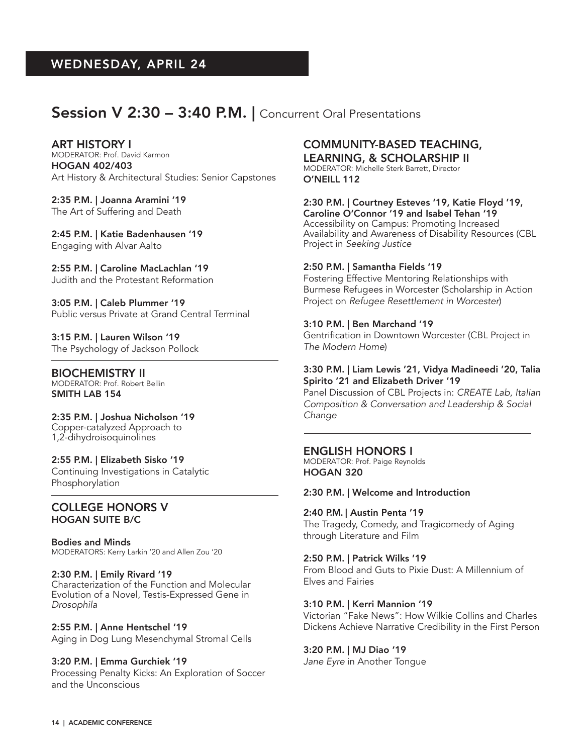## Session V 2:30 - 3:40 P.M. | Concurrent Oral Presentations

ART HISTORY I MODERATOR: Prof. David Karmon HOGAN 402/403 Art History & Architectural Studies: Senior Capstones

2:35 P.M. | Joanna Aramini '19 The Art of Suffering and Death

2:45 P.M. | Katie Badenhausen '19 Engaging with Alvar Aalto

2:55 P.M. | Caroline MacLachlan '19 Judith and the Protestant Reformation

3:05 P.M. | Caleb Plummer '19 Public versus Private at Grand Central Terminal

3:15 P.M. | Lauren Wilson '19 The Psychology of Jackson Pollock

BIOCHEMISTRY II MODERATOR: Prof. Robert Bellin SMITH LAB 154

2:35 P.M. | Joshua Nicholson '19 Copper-catalyzed Approach to 1,2-dihydroisoquinolines

#### 2:55 P.M. | Elizabeth Sisko '19 Continuing Investigations in Catalytic Phosphorylation

#### COLLEGE HONORS V HOGAN SUITE B/C

Bodies and Minds MODERATORS: Kerry Larkin '20 and Allen Zou '20

#### 2:30 P.M. | Emily Rivard '19

Characterization of the Function and Molecular Evolution of a Novel, Testis-Expressed Gene in *Drosophila*

2:55 P.M. | Anne Hentschel '19 Aging in Dog Lung Mesenchymal Stromal Cells

3:20 P.M. | Emma Gurchiek '19 Processing Penalty Kicks: An Exploration of Soccer and the Unconscious

## COMMUNITY-BASED TEACHING,

LEARNING, & SCHOLARSHIP II MODERATOR: Michelle Sterk Barrett, Director O'NEILL 112

2:30 P.M. | Courtney Esteves '19, Katie Floyd '19, Caroline O'Connor '19 and Isabel Tehan '19 Accessibility on Campus: Promoting Increased Availability and Awareness of Disability Resources (CBL

#### 2:50 P.M. | Samantha Fields '19

Project in *Seeking Justice*

Fostering Effective Mentoring Relationships with Burmese Refugees in Worcester (Scholarship in Action Project on *Refugee Resettlement in Worcester*)

#### 3:10 P.M. | Ben Marchand '19

Gentrification in Downtown Worcester (CBL Project in *The Modern Home*)

#### 3:30 P.M. | Liam Lewis '21, Vidya Madineedi '20, Talia Spirito '21 and Elizabeth Driver '19

Panel Discussion of CBL Projects in: *CREATE Lab, Italian Composition & Conversation and Leadership & Social Change*

#### ENGLISH HONORS I

MODERATOR: Prof. Paige Reynolds HOGAN 320

2:30 P.M. | Welcome and Introduction

2:40 P.M. | Austin Penta '19 The Tragedy, Comedy, and Tragicomedy of Aging through Literature and Film

#### 2:50 P.M. | Patrick Wilks '19

From Blood and Guts to Pixie Dust: A Millennium of Elves and Fairies

#### 3:10 P.M. | Kerri Mannion '19

Victorian "Fake News": How Wilkie Collins and Charles Dickens Achieve Narrative Credibility in the First Person

#### 3:20 P.M. | MJ Diao '19

*Jane Eyre* in Another Tongue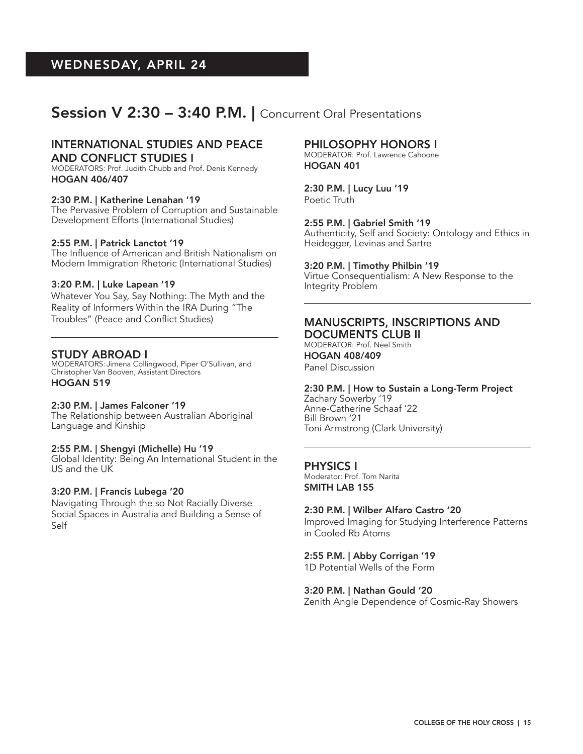## Session V 2:30 – 3:40 P.M. | Concurrent Oral Presentations

#### INTERNATIONAL STUDIES AND PEACE AND CONFLICT STUDIES I

MODERATORS: Prof. Judith Chubb and Prof. Denis Kennedy HOGAN 406/407

#### 2:30 P.M. | Katherine Lenahan '19

The Pervasive Problem of Corruption and Sustainable Development Efforts (International Studies)

#### 2:55 P.M. | Patrick Lanctot '19

The Influence of American and British Nationalism on Modern Immigration Rhetoric (International Studies)

#### 3:20 P.M. | Luke Lapean '19

Whatever You Say, Say Nothing: The Myth and the Reality of Informers Within the IRA During "The Troubles" (Peace and Conflict Studies)

#### STUDY ABROAD I

MODERATORS: Jimena Collingwood, Piper O'Sullivan, and Christopher Van Booven, Assistant Directors HOGAN 519

#### 2:30 P.M. | James Falconer '19

The Relationship between Australian Aboriginal Language and Kinship

#### 2:55 P.M. | Shengyi (Michelle) Hu '19

Global Identity: Being An International Student in the US and the UK

#### 3:20 P.M. | Francis Lubega '20

Navigating Through the so Not Racially Diverse Social Spaces in Australia and Building a Sense of Self

#### PHILOSOPHY HONORS I

MODERATOR: Prof. Lawrence Cahoone HOGAN 401

2:30 P.M. | Lucy Luu '19 Poetic Truth

#### 2:55 P.M. | Gabriel Smith '19

Authenticity, Self and Society: Ontology and Ethics in Heidegger, Levinas and Sartre

#### 3:20 P.M. | Timothy Philbin '19

Virtue Consequentialism: A New Response to the Integrity Problem

#### MANUSCRIPTS, INSCRIPTIONS AND DOCUMENTS CLUB II

MODERATOR: Prof. Neel Smith HOGAN 408/409 Panel Discussion

#### 2:30 P.M. | How to Sustain a Long-Term Project

Zachary Sowerby '19 Anne-Catherine Schaaf '22 Bill Brown '21 Toni Armstrong (Clark University)

#### PHYSICS I

Moderator: Prof. Tom Narita SMITH LAB 155

#### 2:30 P.M. | Wilber Alfaro Castro '20

Improved Imaging for Studying Interference Patterns in Cooled Rb Atoms

#### 2:55 P.M. | Abby Corrigan '19

1D Potential Wells of the Form

#### 3:20 P.M. | Nathan Gould '20

Zenith Angle Dependence of Cosmic-Ray Showers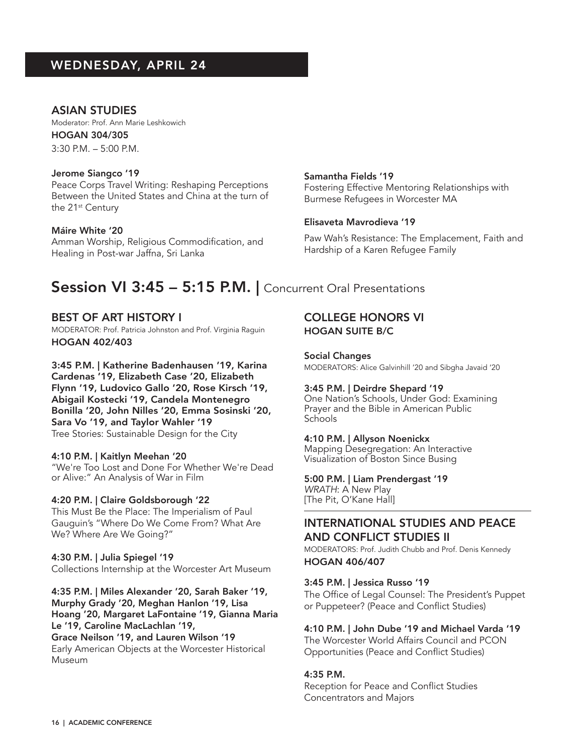#### ASIAN STUDIES

Moderator: Prof. Ann Marie Leshkowich HOGAN 304/305

3:30 P.M. – 5:00 P.M.

#### Jerome Siangco '19

Peace Corps Travel Writing: Reshaping Perceptions Between the United States and China at the turn of the 21st Century

#### Máire White '20

Amman Worship, Religious Commodification, and Healing in Post-war Jaffna, Sri Lanka

#### Samantha Fields '19

Fostering Effective Mentoring Relationships with Burmese Refugees in Worcester MA

#### Elisaveta Mavrodieva '19

Paw Wah's Resistance: The Emplacement, Faith and Hardship of a Karen Refugee Family

## Session VI 3:45 – 5:15 P.M. | Concurrent Oral Presentations

#### BEST OF ART HISTORY I

MODERATOR: Prof. Patricia Johnston and Prof. Virginia Raguin HOGAN 402/403

## 3:45 P.M. | Katherine Badenhausen '19, Karina

Cardenas '19, Elizabeth Case '20, Elizabeth Flynn '19, Ludovico Gallo '20, Rose Kirsch '19, Abigail Kostecki '19, Candela Montenegro Bonilla '20, John Nilles '20, Emma Sosinski '20, Sara Vo '19, and Taylor Wahler '19 Tree Stories: Sustainable Design for the City

#### 4:10 P.M. | Kaitlyn Meehan '20

"We're Too Lost and Done For Whether We're Dead or Alive:" An Analysis of War in Film

#### 4:20 P.M. | Claire Goldsborough '22

This Must Be the Place: The Imperialism of Paul Gauguin's "Where Do We Come From? What Are We? Where Are We Going?"

#### 4:30 P.M. | Julia Spiegel '19

Collections Internship at the Worcester Art Museum

4:35 P.M. | Miles Alexander '20, Sarah Baker '19, Murphy Grady '20, Meghan Hanlon '19, Lisa Hoang '20, Margaret LaFontaine '19, Gianna Maria Le '19, Caroline MacLachlan '19, Grace Neilson '19, and Lauren Wilson '19

Early American Objects at the Worcester Historical Museum

### COLLEGE HONORS VI HOGAN SUITE B/C

Social Changes MODERATORS: Alice Galvinhill '20 and Sibgha Javaid '20

#### 3:45 P.M. | Deirdre Shepard '19

One Nation's Schools, Under God: Examining Prayer and the Bible in American Public Schools

#### 4:10 P.M. | Allyson Noenickx

Mapping Desegregation: An Interactive Visualization of Boston Since Busing

#### 5:00 P.M. | Liam Prendergast '19 *WRATH*: A New Play

[The Pit, O'Kane Hall]

#### INTERNATIONAL STUDIES AND PEACE AND CONFLICT STUDIES II

MODERATORS: Prof. Judith Chubb and Prof. Denis Kennedy HOGAN 406/407

#### 3:45 P.M. | Jessica Russo '19

The Office of Legal Counsel: The President's Puppet or Puppeteer? (Peace and Conflict Studies)

#### 4:10 P.M. | John Dube '19 and Michael Varda '19

The Worcester World Affairs Council and PCON Opportunities (Peace and Conflict Studies)

#### 4:35 P.M.

Reception for Peace and Conflict Studies Concentrators and Majors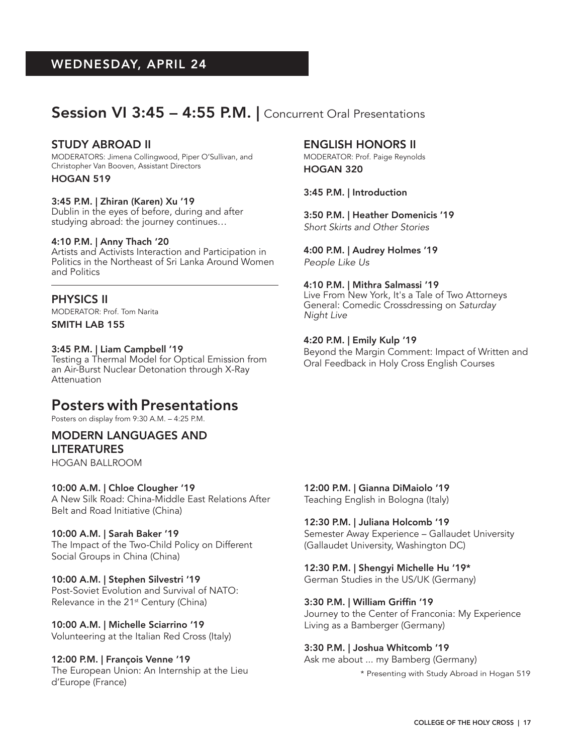## Session VI 3:45 - 4:55 P.M. | Concurrent Oral Presentations

#### STUDY ABROAD II

MODERATORS: Jimena Collingwood, Piper O'Sullivan, and Christopher Van Booven, Assistant Directors

HOGAN 519

#### 3:45 P.M. | Zhiran (Karen) Xu '19

Dublin in the eyes of before, during and after studying abroad: the journey continues…

#### 4:10 P.M. | Anny Thach '20

Artists and Activists Interaction and Participation in Politics in the Northeast of Sri Lanka Around Women and Politics

#### PHYSICS II

MODERATOR: Prof. Tom Narita

#### SMITH LAB 155

#### 3:45 P.M. | Liam Campbell '19

Testing a Thermal Model for Optical Emission from an Air-Burst Nuclear Detonation through X-Ray Attenuation

## Posters with Presentations

Posters on display from 9:30 A.M. – 4:25 P.M.

### MODERN LANGUAGES AND

LITERATURES

HOGAN BALLROOM

#### 10:00 A.M. | Chloe Clougher '19

A New Silk Road: China-Middle East Relations After Belt and Road Initiative (China)

#### 10:00 A.M. | Sarah Baker '19

The Impact of the Two-Child Policy on Different Social Groups in China (China)

#### 10:00 A.M. | Stephen Silvestri '19

Post-Soviet Evolution and Survival of NATO: Relevance in the 21<sup>st</sup> Century (China)

#### 10:00 A.M. | Michelle Sciarrino '19

Volunteering at the Italian Red Cross (Italy)

#### 12:00 P.M. | François Venne '19

The European Union: An Internship at the Lieu d'Europe (France)

#### ENGLISH HONORS II

MODERATOR: Prof. Paige Reynolds HOGAN 320

#### 3:45 P.M. | Introduction

3:50 P.M. | Heather Domenicis '19 *Short Skirts and Other Stories*

## 4:00 P.M. | Audrey Holmes '19

*People Like Us*

#### 4:10 P.M. | Mithra Salmassi '19

Live From New York, It's a Tale of Two Attorneys General: Comedic Crossdressing on *Saturday Night Live*

#### 4:20 P.M. | Emily Kulp '19

Beyond the Margin Comment: Impact of Written and Oral Feedback in Holy Cross English Courses

#### 12:00 P.M. | Gianna DiMaiolo '19

Teaching English in Bologna (Italy)

#### 12:30 P.M. | Juliana Holcomb '19

Semester Away Experience – Gallaudet University (Gallaudet University, Washington DC)

#### 12:30 P.M. | Shengyi Michelle Hu '19\*

German Studies in the US/UK (Germany)

#### 3:30 P.M. | William Griffin '19

Journey to the Center of Franconia: My Experience Living as a Bamberger (Germany)

#### 3:30 P.M. | Joshua Whitcomb '19

Ask me about ... my Bamberg (Germany)

\* Presenting with Study Abroad in Hogan 519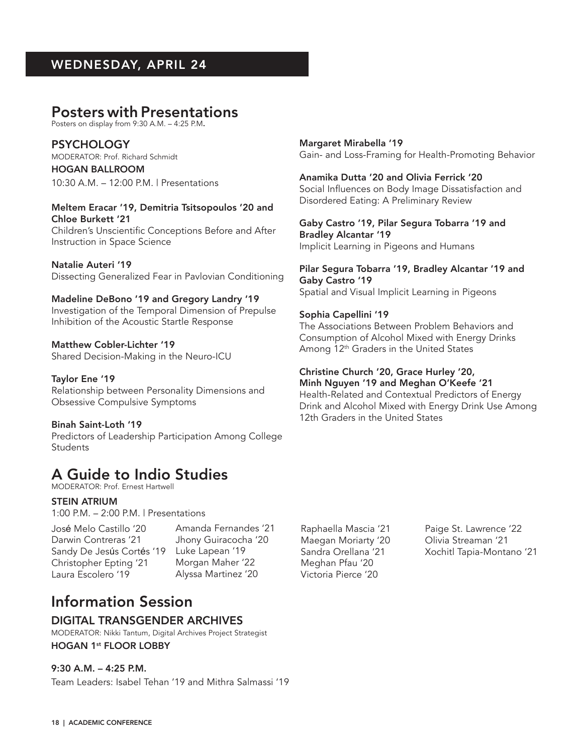## Posters with Presentations

Posters on display from 9:30 A.M. – 4:25 P.M.

**PSYCHOLOGY** MODERATOR: Prof. Richard Schmidt

HOGAN BALLROOM 10:30 A.M. – 12:00 P.M. | Presentations

Meltem Eracar '19, Demitria Tsitsopoulos '20 and Chloe Burkett '21

Children's Unscientific Conceptions Before and After Instruction in Space Science

Natalie Auteri '19 Dissecting Generalized Fear in Pavlovian Conditioning

Madeline DeBono '19 and Gregory Landry '19

Investigation of the Temporal Dimension of Prepulse Inhibition of the Acoustic Startle Response

Matthew Cobler-Lichter '19 Shared Decision-Making in the Neuro-ICU

Taylor Ene '19 Relationship between Personality Dimensions and Obsessive Compulsive Symptoms

Binah Saint-Loth '19 Predictors of Leadership Participation Among College Students

## A Guide to Indio Studies

MODERATOR: Prof. Ernest Hartwell

#### STEIN ATRIUM

1:00 P.M. – 2:00 P.M. | Presentations

José Melo Castillo '20 Darwin Contreras '21 Sandy De Jesús Cortés '19 Christopher Epting '21 Laura Escolero '19

HOGAN 1<sup>st</sup> FLOOR LOBBY

Information Session

DIGITAL TRANSGENDER ARCHIVES MODERATOR: Nikki Tantum, Digital Archives Project Strategist

Team Leaders: Isabel Tehan '19 and Mithra Salmassi '19

Amanda Fernandes '21 Jhony Guiracocha '20 Luke Lapean '19 Morgan Maher '22 Alyssa Martinez '20

Raphaella Mascia '21 Maegan Moriarty '20 Sandra Orellana '21 Meghan Pfau '20 Victoria Pierce '20

Paige St. Lawrence '22 Olivia Streaman '21 Xochitl Tapia-Montano '21

Margaret Mirabella '19 Gain- and Loss-Framing for Health-Promoting Behavior

Anamika Dutta '20 and Olivia Ferrick '20 Social Influences on Body Image Dissatisfaction and Disordered Eating: A Preliminary Review

Gaby Castro '19, Pilar Segura Tobarra '19 and Bradley Alcantar '19 Implicit Learning in Pigeons and Humans

Pilar Segura Tobarra '19, Bradley Alcantar '19 and Gaby Castro '19 Spatial and Visual Implicit Learning in Pigeons

#### Sophia Capellini '19

The Associations Between Problem Behaviors and Consumption of Alcohol Mixed with Energy Drinks Among  $12<sup>th</sup>$  Graders in the United States

#### Christine Church '20, Grace Hurley '20,

Minh Nguyen '19 and Meghan O'Keefe '21 Health-Related and Contextual Predictors of Energy Drink and Alcohol Mixed with Energy Drink Use Among 12th Graders in the United States

9:30 A.M. – 4:25 P.M.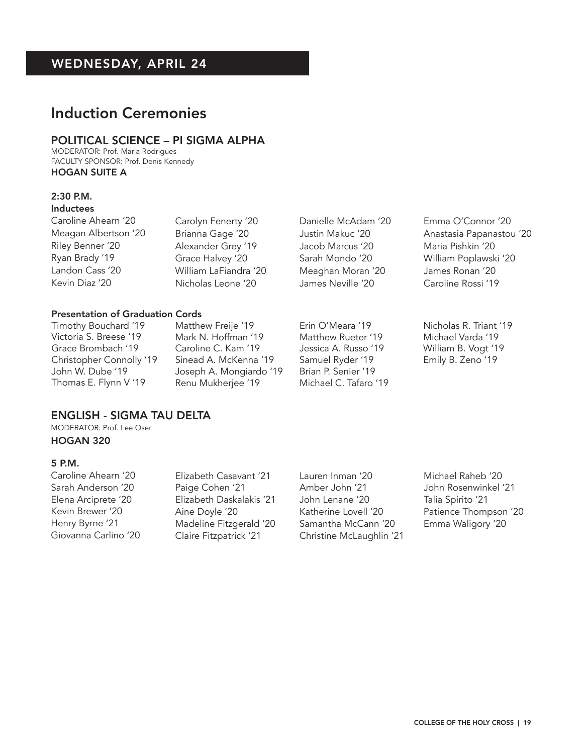## Induction Ceremonies

#### POLITICAL SCIENCE – PI SIGMA ALPHA

MODERATOR: Prof. Maria Rodrigues FACULTY SPONSOR: Prof. Denis Kennedy HOGAN SUITE A

## 2:30 P.M.

### Inductees

Caroline Ahearn '20 Meagan Albertson '20 Riley Benner '20 Ryan Brady '19 Landon Cass '20 Kevin Diaz '20

Carolyn Fenerty '20 Brianna Gage '20 Alexander Grey '19 Grace Halvey '20 William LaFiandra '20 Nicholas Leone '20

#### Presentation of Graduation Cords

Timothy Bouchard '19 Victoria S. Breese '19 Grace Brombach '19 Christopher Connolly '19 John W. Dube '19 Thomas E. Flynn V '19

Matthew Freije '19 Mark N. Hoffman '19 Caroline C. Kam '19 Sinead A. McKenna '19 Joseph A. Mongiardo '19 Renu Mukherjee '19

Danielle McAdam '20 Justin Makuc '20 Jacob Marcus '20 Sarah Mondo '20 Meaghan Moran '20 James Neville '20

Erin O'Meara '19 Matthew Rueter '19 Jessica A. Russo '19 Samuel Ryder '19 Brian P. Senier '19 Michael C. Tafaro '19 Emma O'Connor '20 Anastasia Papanastou '20 Maria Pishkin '20 William Poplawski '20 James Ronan '20 Caroline Rossi '19

Nicholas R. Triant '19 Michael Varda '19 William B. Vogt '19 Emily B. Zeno '19

#### ENGLISH - SIGMA TAU DELTA

MODERATOR: Prof. Lee Oser HOGAN 320

#### 5 P.M.

Caroline Ahearn '20 Sarah Anderson '20 Elena Arciprete '20 Kevin Brewer '20 Henry Byrne '21 Giovanna Carlino '20 Elizabeth Casavant '21 Paige Cohen '21 Elizabeth Daskalakis '21 Aine Doyle '20 Madeline Fitzgerald '20 Claire Fitzpatrick '21

Lauren Inman '20 Amber John '21 John Lenane '20 Katherine Lovell '20 Samantha McCann '20 Christine McLaughlin '21 Michael Raheb '20 John Rosenwinkel '21 Talia Spirito '21 Patience Thompson '20 Emma Waligory '20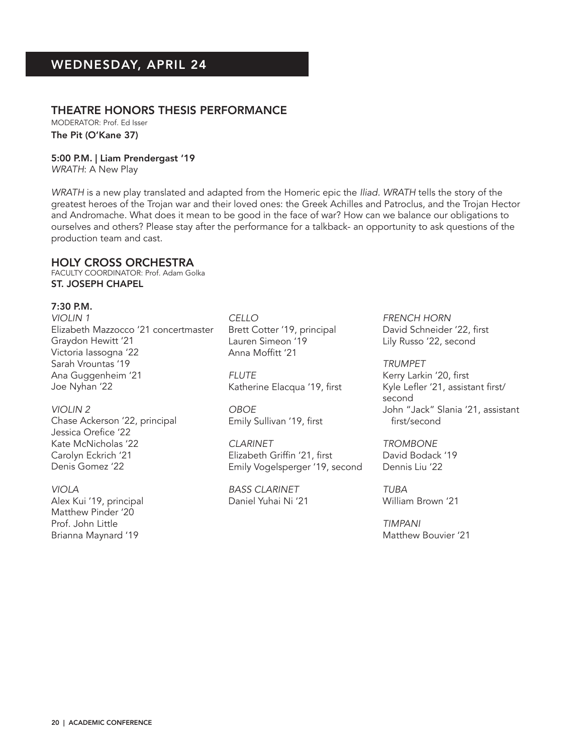#### THEATRE HONORS THESIS PERFORMANCE

MODERATOR: Prof. Ed Isser The Pit (O'Kane 37)

5:00 P.M. | Liam Prendergast '19

*WRATH*: A New Play

*WRATH* is a new play translated and adapted from the Homeric epic the *Iliad. WRATH* tells the story of the greatest heroes of the Trojan war and their loved ones: the Greek Achilles and Patroclus, and the Trojan Hector and Andromache. What does it mean to be good in the face of war? How can we balance our obligations to ourselves and others? Please stay after the performance for a talkback- an opportunity to ask questions of the production team and cast.

#### HOLY CROSS ORCHESTRA

FACULTY COORDINATOR: Prof. Adam Golka ST. JOSEPH CHAPEL

7:30 P.M.

*VIOLIN 1* Elizabeth Mazzocco '21 concertmaster Graydon Hewitt '21 Victoria Iassogna '22 Sarah Vrountas '19 Ana Guggenheim '21 Joe Nyhan '22

*VIOLIN 2* Chase Ackerson '22, principal Jessica Orefice '22 Kate McNicholas '22 Carolyn Eckrich '21 Denis Gomez '22

*VIOLA* Alex Kui '19, principal Matthew Pinder '20 Prof. John Little Brianna Maynard '19

*CELLO* Brett Cotter '19, principal Lauren Simeon '19 Anna Moffitt '21

*FLUTE* Katherine Elacqua '19, first

*OBOE* Emily Sullivan '19, first

*CLARINET* Elizabeth Griffin '21, first Emily Vogelsperger '19, second

*BASS CLARINET* Daniel Yuhai Ni '21

*FRENCH HORN* David Schneider '22, first Lily Russo '22, second

*TRUMPET* Kerry Larkin '20, first Kyle Lefler '21, assistant first/ second John "Jack" Slania '21, assistant first/second

*TROMBONE* David Bodack '19 Dennis Liu '22

*TUBA* William Brown '21

*TIMPANI* Matthew Bouvier '21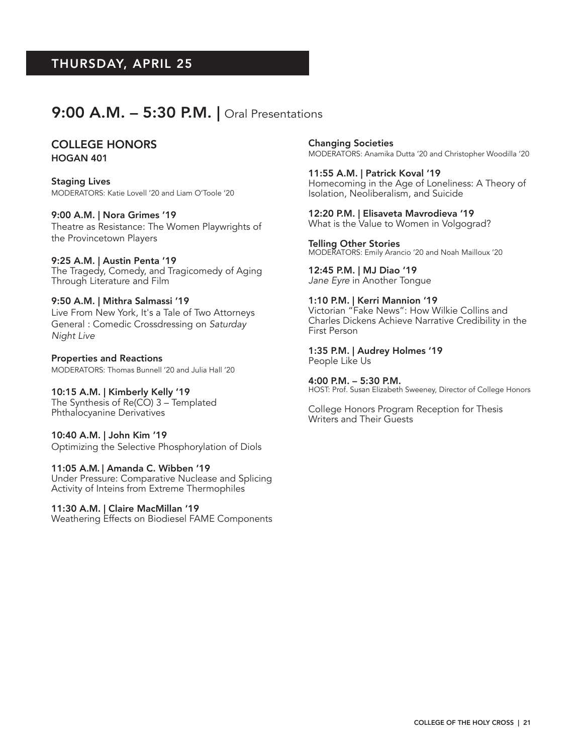## 9:00 A.M. - 5:30 P.M. | Oral Presentations

#### COLLEGE HONORS HOGAN 401

Staging Lives MODERATORS: Katie Lovell '20 and Liam O'Toole '20

#### 9:00 A.M. | Nora Grimes '19

Theatre as Resistance: The Women Playwrights of the Provincetown Players

#### 9:25 A.M. | Austin Penta '19

The Tragedy, Comedy, and Tragicomedy of Aging Through Literature and Film

### 9:50 A.M. | Mithra Salmassi '19

Live From New York, It's a Tale of Two Attorneys General : Comedic Crossdressing on *Saturday Night Live*

Properties and Reactions MODERATORS: Thomas Bunnell '20 and Julia Hall '20

#### 10:15 A.M. | Kimberly Kelly '19 The Synthesis of Re(CO) 3 – Templated Phthalocyanine Derivatives

#### 10:40 A.M. | John Kim '19 Optimizing the Selective Phosphorylation of Diols

#### 11:05 A.M. | Amanda C. Wibben '19

Under Pressure: Comparative Nuclease and Splicing Activity of Inteins from Extreme Thermophiles

#### 11:30 A.M. | Claire MacMillan '19

Weathering Effects on Biodiesel FAME Components

Changing Societies MODERATORS: Anamika Dutta '20 and Christopher Woodilla '20

11:55 A.M. | Patrick Koval '19 Homecoming in the Age of Loneliness: A Theory of Isolation, Neoliberalism, and Suicide

#### 12:20 P.M. | Elisaveta Mavrodieva '19

What is the Value to Women in Volgograd?

Telling Other Stories MODERATORS: Emily Arancio '20 and Noah Mailloux '20

12:45 P.M. | MJ Diao '19 *Jane Eyre* in Another Tongue

#### 1:10 P.M. | Kerri Mannion '19

Victorian "Fake News": How Wilkie Collins and Charles Dickens Achieve Narrative Credibility in the First Person

#### 1:35 P.M. | Audrey Holmes '19 People Like Us

4:00 P.M. – 5:30 P.M. HOST: Prof. Susan Elizabeth Sweeney, Director of College Honors

College Honors Program Reception for Thesis Writers and Their Guests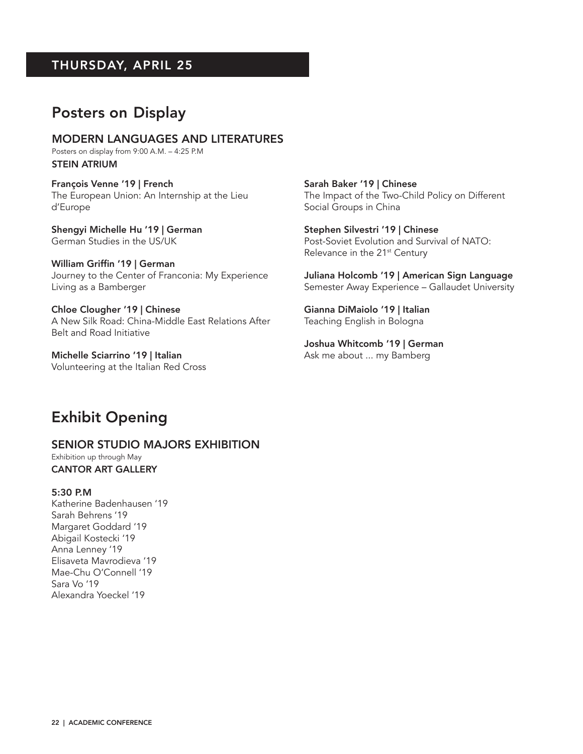## Posters on Display

MODERN LANGUAGES AND LITERATURES Posters on display from 9:00 A.M. – 4:25 P.M STEIN ATRIUM

François Venne '19 | French The European Union: An Internship at the Lieu d'Europe

Shengyi Michelle Hu '19 | German German Studies in the US/UK

William Griffin '19 | German Journey to the Center of Franconia: My Experience Living as a Bamberger

Chloe Clougher '19 | Chinese A New Silk Road: China-Middle East Relations After Belt and Road Initiative

Michelle Sciarrino '19 | Italian Volunteering at the Italian Red Cross Sarah Baker '19 | Chinese The Impact of the Two-Child Policy on Different Social Groups in China

Stephen Silvestri '19 | Chinese Post-Soviet Evolution and Survival of NATO: Relevance in the 21<sup>st</sup> Century

Juliana Holcomb '19 | American Sign Language Semester Away Experience – Gallaudet University

Gianna DiMaiolo '19 | Italian Teaching English in Bologna

Joshua Whitcomb '19 | German Ask me about ... my Bamberg

## Exhibit Opening

#### SENIOR STUDIO MAJORS EXHIBITION

Exhibition up through May CANTOR ART GALLERY

#### 5:30 P.M

Katherine Badenhausen '19 Sarah Behrens '19 Margaret Goddard '19 Abigail Kostecki '19 Anna Lenney '19 Elisaveta Mavrodieva '19 Mae-Chu O'Connell '19 Sara Vo '19 Alexandra Yoeckel '19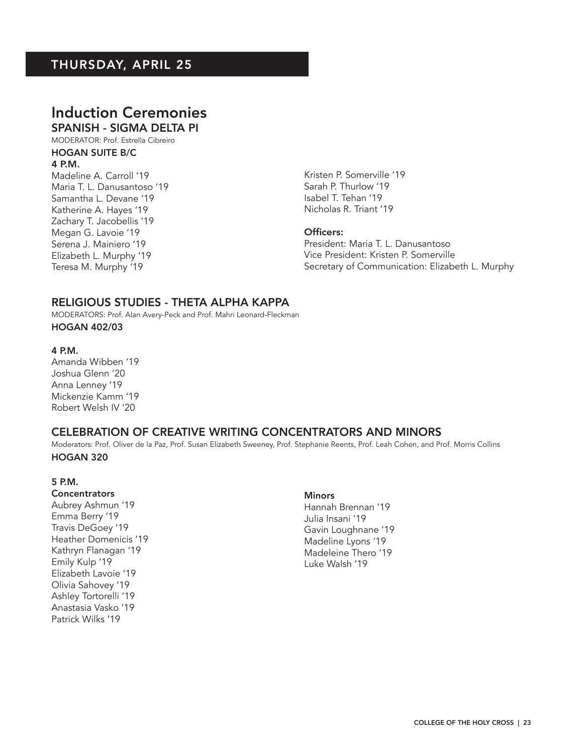### Induction Ceremonies SPANISH - SIGMA DELTA PI

MODERATOR: Prof. Estrella Cibreiro

### HOGAN SUITE B/C

#### 4 P.M.

Madeline A. Carroll '19 Maria T. L. Danusantoso '19 Samantha L. Devane '19 Katherine A. Hayes '19 Zachary T. Jacobellis '19 Megan G. Lavoie '19 Serena J. Mainiero '19 Elizabeth L. Murphy '19 Teresa M. Murphy '19

Kristen P. Somerville '19 Sarah P. Thurlow '19 Isabel T. Tehan '19 Nicholas R. Triant '19

#### Officers:

President: Maria T. L. Danusantoso Vice President: Kristen P. Somerville Secretary of Communication: Elizabeth L. Murphy

#### RELIGIOUS STUDIES - THETA ALPHA KAPPA

MODERATORS: Prof. Alan Avery-Peck and Prof. Mahri Leonard-Fleckman

HOGAN 402/03

#### 4 P.M.

Amanda Wibben '19 Joshua Glenn '20 Anna Lenney '19 Mickenzie Kamm '19 Robert Welsh IV '20

#### CELEBRATION OF CREATIVE WRITING CONCENTRATORS AND MINORS

Moderators: Prof. Oliver de la Paz, Prof. Susan Elizabeth Sweeney, Prof. Stephanie Reents, Prof. Leah Cohen, and Prof. Morris Collins HOGAN 320

#### 5 P.M.

## **Concentrators**

Aubrey Ashmun '19 Emma Berry '19 Travis DeGoey '19 Heather Domenicis '19 Kathryn Flanagan '19 Emily Kulp '19 Elizabeth Lavoie '19 Olivia Sahovey '19 Ashley Tortorelli '19 Anastasia Vasko '19 Patrick Wilks '19

#### **Minors**

Hannah Brennan '19 Julia Insani '19 Gavin Loughnane '19 Madeline Lyons '19 Madeleine Thero '19 Luke Walsh '19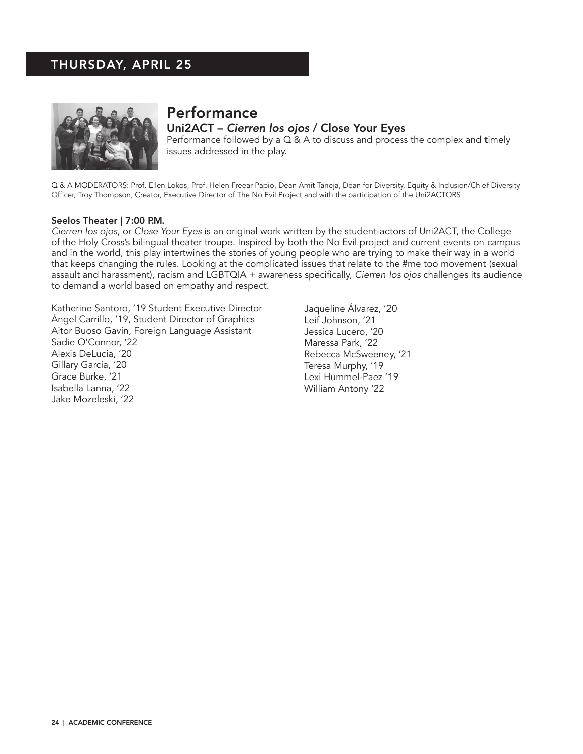

## **Performance**

Uni2ACT – *Cierren los ojos* / Close Your Eyes Performance followed by a Q & A to discuss and process the complex and timely issues addressed in the play.

Q & A MODERATORS: Prof. Ellen Lokos, Prof. Helen Freear-Papio, Dean Amit Taneja, Dean for Diversity, Equity & Inclusion/Chief Diversity Officer, Troy Thompson, Creator, Executive Director of The No Evil Project and with the participation of the Uni2ACTORS

#### Seelos Theater | 7:00 P.M.

*Cierren los ojos*, or *Close Your Eyes* is an original work written by the student-actors of Uni2ACT, the College of the Holy Cross's bilingual theater troupe. Inspired by both the No Evil project and current events on campus and in the world, this play intertwines the stories of young people who are trying to make their way in a world that keeps changing the rules. Looking at the complicated issues that relate to the #me too movement (sexual assault and harassment), racism and LGBTQIA + awareness specifically, *Cierren los ojos* challenges its audience to demand a world based on empathy and respect.

Katherine Santoro, '19 Student Executive Director Ángel Carrillo, '19, Student Director of Graphics Aitor Buoso Gavin, Foreign Language Assistant Sadie O'Connor, '22 Alexis DeLucia, '20 Gillary García, '20 Grace Burke, '21 Isabella Lanna, '22 Jake Mozeleski, '22

Jaqueline Álvarez, '20 Leif Johnson, '21 Jessica Lucero, '20 Maressa Park, '22 Rebecca McSweeney, '21 Teresa Murphy, '19 Lexi Hummel-Paez '19 William Antony '22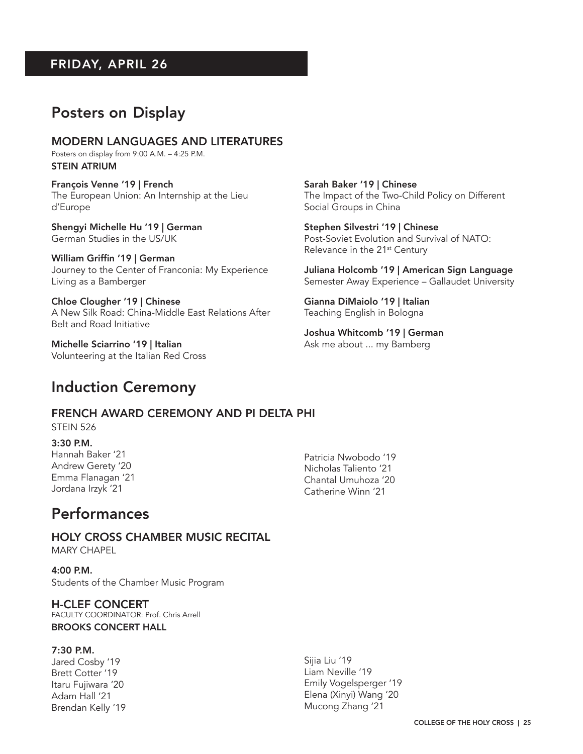## FRIDAY, APRIL 26

## Posters on Display

MODERN LANGUAGES AND LITERATURES Posters on display from 9:00 A.M. – 4:25 P.M. STEIN ATRIUM

François Venne '19 | French The European Union: An Internship at the Lieu d'Europe

Shengyi Michelle Hu '19 | German German Studies in the US/UK

William Griffin '19 | German Journey to the Center of Franconia: My Experience Living as a Bamberger

Chloe Clougher '19 | Chinese A New Silk Road: China-Middle East Relations After Belt and Road Initiative

Michelle Sciarrino '19 | Italian Volunteering at the Italian Red Cross

## Induction Ceremony

FRENCH AWARD CEREMONY AND PI DELTA PHI

STEIN 526

3:30 P.M. Hannah Baker '21 Andrew Gerety '20 Emma Flanagan '21 Jordana Irzyk '21

Patricia Nwobodo '19 Nicholas Taliento '21 Chantal Umuhoza '20 Catherine Winn '21

## Performances

HOLY CROSS CHAMBER MUSIC RECITAL MARY CHAPEL

4:00 P.M. Students of the Chamber Music Program

H-CLEF CONCERT FACULTY COORDINATOR: Prof. Chris Arrell BROOKS CONCERT HALL

#### 7:30 P.M.

Jared Cosby '19 Brett Cotter '19 Itaru Fujiwara '20 Adam Hall '21 Brendan Kelly '19 Sijia Liu '19 Liam Neville '19 Emily Vogelsperger '19 Elena (Xinyi) Wang '20 Mucong Zhang '21

Sarah Baker '19 | Chinese The Impact of the Two-Child Policy on Different Social Groups in China

Stephen Silvestri '19 | Chinese Post-Soviet Evolution and Survival of NATO: Relevance in the 21<sup>st</sup> Century

Juliana Holcomb '19 | American Sign Language Semester Away Experience – Gallaudet University

Gianna DiMaiolo '19 | Italian Teaching English in Bologna

Joshua Whitcomb '19 | German Ask me about ... my Bamberg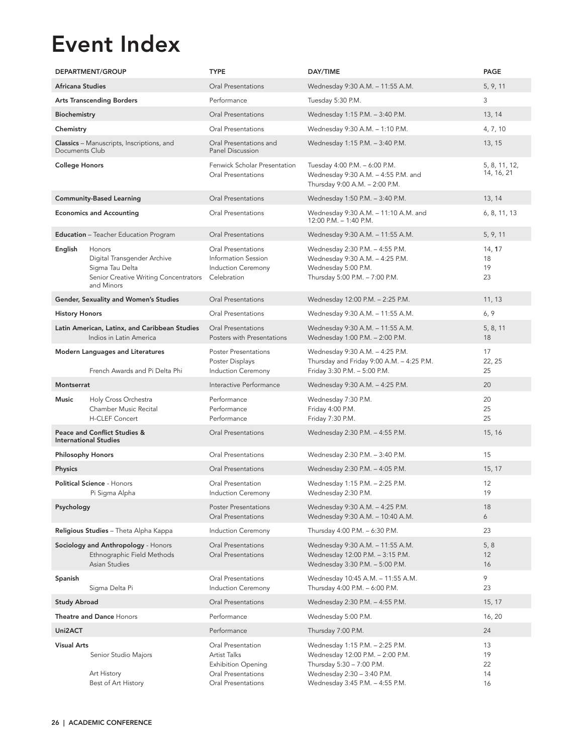# Event Index

|                       | <b>DEPARTMENT/GROUP</b>                                                                                         | <b>TYPE</b>                                                                                                | DAY/TIME                                                                                                                                                          | PAGE                        |
|-----------------------|-----------------------------------------------------------------------------------------------------------------|------------------------------------------------------------------------------------------------------------|-------------------------------------------------------------------------------------------------------------------------------------------------------------------|-----------------------------|
| Africana Studies      |                                                                                                                 | Oral Presentations                                                                                         | Wednesday 9:30 A.M. - 11:55 A.M.                                                                                                                                  | 5, 9, 11                    |
|                       | <b>Arts Transcending Borders</b>                                                                                | Performance                                                                                                | Tuesday 5:30 P.M.                                                                                                                                                 | 3                           |
| Biochemistry          |                                                                                                                 | Oral Presentations                                                                                         | Wednesday 1:15 P.M. - 3:40 P.M.                                                                                                                                   | 13, 14                      |
| Chemistry             |                                                                                                                 | Oral Presentations                                                                                         | Wednesday 9:30 A.M. - 1:10 P.M.                                                                                                                                   | 4, 7, 10                    |
| Documents Club        | <b>Classics</b> – Manuscripts, Inscriptions, and                                                                | Oral Presentations and<br><b>Panel Discussion</b>                                                          | Wednesday 1:15 P.M. - 3:40 P.M.                                                                                                                                   | 13, 15                      |
| <b>College Honors</b> |                                                                                                                 | Fenwick Scholar Presentation<br>Oral Presentations                                                         | Tuesday 4:00 P.M. - 6:00 P.M.<br>Wednesday 9:30 A.M. - 4:55 P.M. and<br>Thursday 9:00 A.M. - 2:00 P.M.                                                            | 5, 8, 11, 12,<br>14, 16, 21 |
|                       | <b>Community-Based Learning</b>                                                                                 | Oral Presentations                                                                                         | Wednesday 1:50 P.M. - 3:40 P.M.                                                                                                                                   | 13, 14                      |
|                       | <b>Economics and Accounting</b>                                                                                 | Oral Presentations                                                                                         | Wednesday 9:30 A.M. - 11:10 A.M. and<br>12:00 P.M. - 1:40 P.M.                                                                                                    | 6, 8, 11, 13                |
|                       | <b>Education</b> - Teacher Education Program                                                                    | Oral Presentations                                                                                         | Wednesday 9:30 A.M. - 11:55 A.M.                                                                                                                                  | 5, 9, 11                    |
| English               | Honors<br>Digital Transgender Archive<br>Sigma Tau Delta<br>Senior Creative Writing Concentrators<br>and Minors | Oral Presentations<br>Information Session<br><b>Induction Ceremony</b><br>Celebration                      | Wednesday 2:30 P.M. - 4:55 P.M.<br>Wednesday 9:30 A.M. - 4:25 P.M.<br>Wednesday 5:00 P.M.<br>Thursday 5:00 P.M. - 7:00 P.M.                                       | 14, 17<br>18<br>19<br>23    |
|                       | Gender, Sexuality and Women's Studies                                                                           | Oral Presentations                                                                                         | Wednesday 12:00 P.M. - 2:25 P.M.                                                                                                                                  | 11, 13                      |
| <b>History Honors</b> |                                                                                                                 | <b>Oral Presentations</b>                                                                                  | Wednesday 9:30 A.M. - 11:55 A.M.                                                                                                                                  | 6, 9                        |
|                       | Latin American, Latinx, and Caribbean Studies<br>Indios in Latin America                                        | <b>Oral Presentations</b><br>Posters with Presentations                                                    | Wednesday 9:30 A.M. - 11:55 A.M.<br>Wednesday 1:00 P.M. - 2:00 P.M.                                                                                               | 5, 8, 11<br>18              |
|                       | <b>Modern Languages and Literatures</b><br>French Awards and Pi Delta Phi                                       | <b>Poster Presentations</b><br>Poster Displays<br><b>Induction Ceremony</b>                                | Wednesday 9:30 A.M. - 4:25 P.M.<br>Thursday and Friday 9:00 A.M. - 4:25 P.M.<br>Friday 3:30 P.M. - 5:00 P.M.                                                      | 17<br>22, 25<br>25          |
| Montserrat            |                                                                                                                 | Interactive Performance                                                                                    | Wednesday 9:30 A.M. - 4:25 P.M.                                                                                                                                   | 20                          |
| Music                 | Holy Cross Orchestra<br>Chamber Music Recital<br><b>H-CLEF Concert</b>                                          | Performance<br>Performance<br>Performance                                                                  | Wednesday 7:30 P.M.<br>Friday 4:00 P.M.<br>Friday 7:30 P.M.                                                                                                       | 20<br>25<br>25              |
|                       | <b>Peace and Conflict Studies &amp;</b><br><b>International Studies</b>                                         | Oral Presentations                                                                                         | Wednesday 2:30 P.M. - 4:55 P.M.                                                                                                                                   | 15, 16                      |
|                       | <b>Philosophy Honors</b>                                                                                        | Oral Presentations                                                                                         | Wednesday 2:30 P.M. - 3:40 P.M.                                                                                                                                   | 15                          |
| <b>Physics</b>        |                                                                                                                 | <b>Oral Presentations</b>                                                                                  | Wednesday 2:30 P.M. - 4:05 P.M.                                                                                                                                   | 15, 17                      |
|                       | Political Science - Honors<br>Pi Sigma Alpha                                                                    | Oral Presentation<br>Induction Ceremony                                                                    | Wednesday 1:15 P.M. - 2:25 P.M.<br>Wednesday 2:30 P.M.                                                                                                            | 12<br>19                    |
| Psychology            |                                                                                                                 | <b>Poster Presentations</b><br>Oral Presentations                                                          | Wednesday 9:30 A.M. - 4:25 P.M.<br>Wednesday 9:30 A.M. - 10:40 A.M.                                                                                               | 18<br>6                     |
|                       | Religious Studies - Theta Alpha Kappa                                                                           | Induction Ceremony                                                                                         | Thursday 4:00 P.M. - 6:30 P.M.                                                                                                                                    | 23                          |
|                       | Sociology and Anthropology - Honors<br>Ethnographic Field Methods<br>Asian Studies                              | <b>Oral Presentations</b><br><b>Oral Presentations</b>                                                     | Wednesday 9:30 A.M. - 11:55 A.M.<br>Wednesday 12:00 P.M. - 3:15 P.M.<br>Wednesday 3:30 P.M. - 5:00 P.M.                                                           | 5, 8<br>12<br>16            |
| Spanish               | Sigma Delta Pi                                                                                                  | Oral Presentations<br>Induction Ceremony                                                                   | Wednesday 10:45 A.M. - 11:55 A.M.<br>Thursday 4:00 P.M. - 6:00 P.M.                                                                                               | 9<br>23                     |
| <b>Study Abroad</b>   |                                                                                                                 | Oral Presentations                                                                                         | Wednesday 2:30 P.M. - 4:55 P.M.                                                                                                                                   | 15, 17                      |
|                       | Theatre and Dance Honors                                                                                        | Performance                                                                                                | Wednesday 5:00 P.M.                                                                                                                                               | 16, 20                      |
| Uni2ACT               |                                                                                                                 | Performance                                                                                                | Thursday 7:00 P.M.                                                                                                                                                | 24                          |
| <b>Visual Arts</b>    | Senior Studio Majors<br>Art History<br>Best of Art History                                                      | Oral Presentation<br>Artist Talks<br><b>Exhibition Opening</b><br>Oral Presentations<br>Oral Presentations | Wednesday 1:15 P.M. - 2:25 P.M.<br>Wednesday 12:00 P.M. - 2:00 P.M.<br>Thursday 5:30 - 7:00 P.M.<br>Wednesday 2:30 - 3:40 P.M.<br>Wednesday 3:45 P.M. - 4:55 P.M. | 13<br>19<br>22<br>14<br>16  |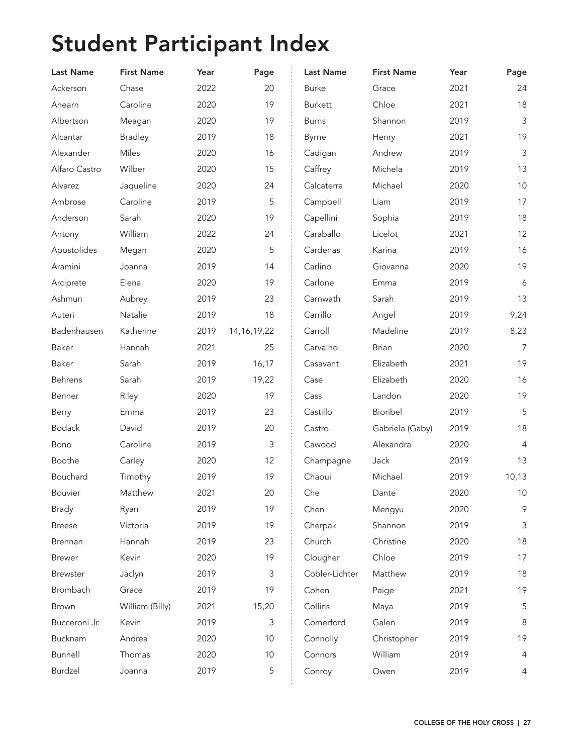# Student Participant Index

| <b>Last Name</b> | <b>First Name</b> | Year | Page           | <b>Last Name</b> | <b>First Name</b> | Year | Page             |
|------------------|-------------------|------|----------------|------------------|-------------------|------|------------------|
| Ackerson         | Chase             | 2022 | 20             | <b>Burke</b>     | Grace             | 2021 | 24               |
| Ahearn           | Caroline          | 2020 | 19             | <b>Burkett</b>   | Chloe             | 2021 | 18               |
| Albertson        | Meagan            | 2020 | 19             | <b>Burns</b>     | Shannon           | 2019 | $\mathfrak{Z}$   |
| Alcantar         | <b>Bradley</b>    | 2019 | 18             | Byrne            | Henry             | 2021 | 19               |
| Alexander        | Miles             | 2020 | 16             | Cadigan          | Andrew            | 2019 | $\mathfrak{Z}$   |
| Alfaro Castro    | Wilber            | 2020 | 15             | Caffrey          | Michela           | 2019 | 13               |
| Alvarez          | Jaqueline         | 2020 | 24             | Calcaterra       | Michael           | 2020 | 10               |
| Ambrose          | Caroline          | 2019 | 5              | Campbell         | Liam              | 2019 | 17               |
| Anderson         | Sarah             | 2020 | 19             | Capellini        | Sophia            | 2019 | 18               |
| Antony           | William           | 2022 | 24             | Caraballo        | Licelot           | 2021 | 12               |
| Apostolides      | Megan             | 2020 | 5              | Cardenas         | Karina            | 2019 | 16               |
| Aramini          | Joanna            | 2019 | 14             | Carlino          | Giovanna          | 2020 | 19               |
| Arciprete        | Elena             | 2020 | 19             | Carlone          | Emma              | 2019 | $\boldsymbol{6}$ |
| Ashmun           | Aubrey            | 2019 | 23             | Carnwath         | Sarah             | 2019 | 13               |
| Auteri           | Natalie           | 2019 | 18             | Carrillo         | Angel             | 2019 | 9,24             |
| Badenhausen      | Katherine         | 2019 | 14, 16, 19, 22 | Carroll          | Madeline          | 2019 | 8,23             |
| Baker            | Hannah            | 2021 | 25             | Carvalho         | <b>Brian</b>      | 2020 | $\overline{7}$   |
| Baker            | Sarah             | 2019 | 16,17          | Casavant         | Elizabeth         | 2021 | 19               |
| Behrens          | Sarah             | 2019 | 19,22          | Case             | Elizabeth         | 2020 | 16               |
| Benner           | Riley             | 2020 | 19             | Cass             | Landon            | 2020 | 19               |
| Berry            | Emma              | 2019 | 23             | Castillo         | Bioribel          | 2019 | 5                |
| <b>Bodack</b>    | David             | 2019 | 20             | Castro           | Gabriela (Gaby)   | 2019 | 18               |
| Bono             | Caroline          | 2019 | 3              | Cawood           | Alexandra         | 2020 | $\overline{4}$   |
| Boothe           | Carley            | 2020 | 12             | Champagne        | Jack              | 2019 | 13               |
| Bouchard         | Timothy           | 2019 | 19             | Chaoui           | Michael           | 2019 | 10,13            |
| <b>Bouvier</b>   | Matthew           | 2021 | 20             | Che              | Dante             | 2020 | 10               |
| <b>Brady</b>     | Ryan              | 2019 | 19             | Chen             | Mengyu            | 2020 | 9                |
| <b>Breese</b>    | Victoria          | 2019 | 19             | Cherpak          | Shannon           | 2019 | 3                |
| Brennan          | Hannah            | 2019 | 23             | Church           | Christine         | 2020 | 18               |
| <b>Brewer</b>    | Kevin             | 2020 | 19             | Clougher         | Chloe             | 2019 | 17               |
| <b>Brewster</b>  | Jaclyn            | 2019 | 3              | Cobler-Lichter   | Matthew           | 2019 | 18               |
| Brombach         | Grace             | 2019 | 19             | Cohen            | Paige             | 2021 | 19               |
| <b>Brown</b>     | William (Billy)   | 2021 | 15,20          | Collins          | Maya              | 2019 | 5                |
| Bucceroni Jr.    | Kevin             | 2019 | 3              | Comerford        | Galen             | 2019 | 8                |
| Bucknam          | Andrea            | 2020 | 10             | Connolly         | Christopher       | 2019 | 19               |
| Bunnell          | Thomas            | 2020 | 10             | Connors          | William           | 2019 | 4                |
| Burdzel          | Joanna            | 2019 | 5              | Conroy           | Owen              | 2019 | 4                |
|                  |                   |      |                |                  |                   |      |                  |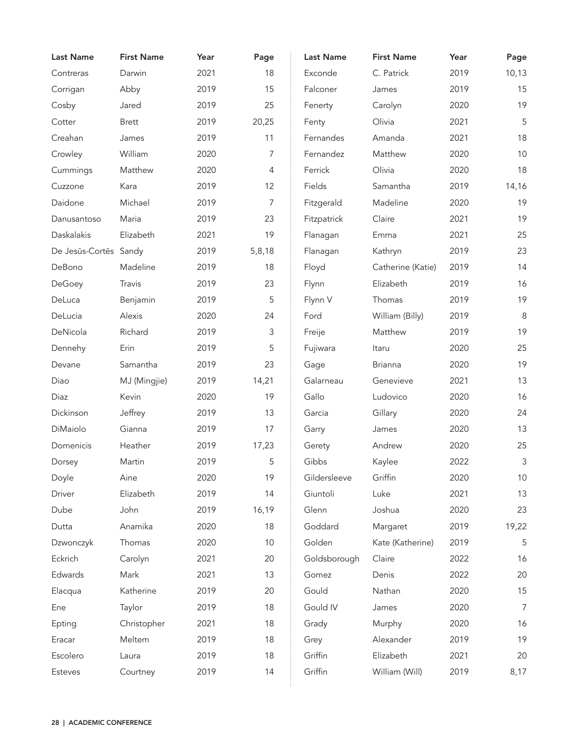| <b>Last Name</b>      | <b>First Name</b> | Year | Page   | <b>Last Name</b> | <b>First Name</b> | Year | Page           |
|-----------------------|-------------------|------|--------|------------------|-------------------|------|----------------|
| Contreras             | Darwin            | 2021 | 18     | Exconde          | C. Patrick        | 2019 | 10,13          |
| Corrigan              | Abby              | 2019 | 15     | Falconer         | James             | 2019 | 15             |
| Cosby                 | Jared             | 2019 | 25     | Fenerty          | Carolyn           | 2020 | 19             |
| Cotter                | <b>Brett</b>      | 2019 | 20,25  | Fenty            | Olivia            | 2021 | 5              |
| Creahan               | James             | 2019 | 11     | Fernandes        | Amanda            | 2021 | 18             |
| Crowley               | William           | 2020 | 7      | Fernandez        | Matthew           | 2020 | 10             |
| Cummings              | Matthew           | 2020 | 4      | Ferrick          | Olivia            | 2020 | 18             |
| Cuzzone               | Kara              | 2019 | 12     | Fields           | Samantha          | 2019 | 14,16          |
| Daidone               | Michael           | 2019 | 7      | Fitzgerald       | Madeline          | 2020 | 19             |
| Danusantoso           | Maria             | 2019 | 23     | Fitzpatrick      | Claire            | 2021 | 19             |
| Daskalakis            | Elizabeth         | 2021 | 19     | Flanagan         | Emma              | 2021 | 25             |
| De Jesūs-Cortēs Sandy |                   | 2019 | 5,8,18 | Flanagan         | Kathryn           | 2019 | 23             |
| DeBono                | Madeline          | 2019 | 18     | Floyd            | Catherine (Katie) | 2019 | 14             |
| DeGoey                | Travis            | 2019 | 23     | Flynn            | Elizabeth         | 2019 | 16             |
| DeLuca                | Benjamin          | 2019 | 5      | Flynn V          | Thomas            | 2019 | 19             |
| DeLucia               | Alexis            | 2020 | 24     | Ford             | William (Billy)   | 2019 | 8              |
| DeNicola              | Richard           | 2019 | 3      | Freije           | Matthew           | 2019 | 19             |
| Dennehy               | Erin              | 2019 | 5      | Fujiwara         | Itaru             | 2020 | 25             |
| Devane                | Samantha          | 2019 | 23     | Gage             | <b>Brianna</b>    | 2020 | 19             |
| Diao                  | MJ (Mingjie)      | 2019 | 14,21  | Galarneau        | Genevieve         | 2021 | 13             |
| Diaz                  | Kevin             | 2020 | 19     | Gallo            | Ludovico          | 2020 | 16             |
| Dickinson             | Jeffrey           | 2019 | 13     | Garcia           | Gillary           | 2020 | 24             |
| DiMaiolo              | Gianna            | 2019 | 17     | Garry            | James             | 2020 | 13             |
| Domenicis             | Heather           | 2019 | 17,23  | Gerety           | Andrew            | 2020 | 25             |
| Dorsey                | Martin            | 2019 | 5      | Gibbs            | Kaylee            | 2022 | 3              |
| Doyle                 | Aine              | 2020 | 19     | Gildersleeve     | Griffin           | 2020 | 10             |
| Driver                | Elizabeth         | 2019 | 14     | Giuntoli         | Luke              | 2021 | 13             |
| Dube                  | John              | 2019 | 16,19  | Glenn            | Joshua            | 2020 | 23             |
| Dutta                 | Anamika           | 2020 | 18     | Goddard          | Margaret          | 2019 | 19,22          |
| Dzwonczyk             | Thomas            | 2020 | 10     | Golden           | Kate (Katherine)  | 2019 | 5              |
| Eckrich               | Carolyn           | 2021 | 20     | Goldsborough     | Claire            | 2022 | 16             |
| Edwards               | Mark              | 2021 | 13     | Gomez            | Denis             | 2022 | 20             |
| Elacqua               | Katherine         | 2019 | 20     | Gould            | Nathan            | 2020 | 15             |
| Ene                   | Taylor            | 2019 | 18     | Gould IV         | James             | 2020 | $\overline{7}$ |
| Epting                | Christopher       | 2021 | 18     | Grady            | Murphy            | 2020 | 16             |
| Eracar                | Meltem            | 2019 | 18     | Grey             | Alexander         | 2019 | 19             |
| Escolero              | Laura             | 2019 | 18     | Griffin          | Elizabeth         | 2021 | 20             |
| Esteves               | Courtney          | 2019 | 14     | Griffin          | William (Will)    | 2019 | 8,17           |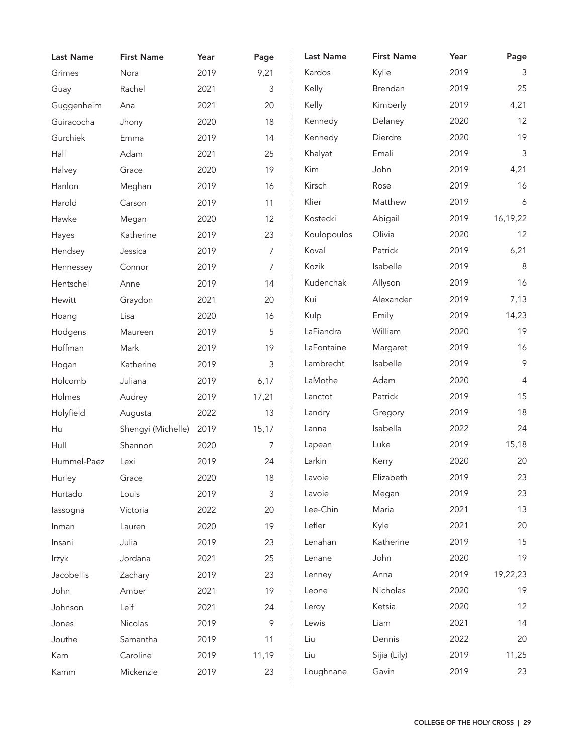| <b>Last Name</b> | <b>First Name</b>  | Year | Page  | <b>Last Name</b> | <b>First Name</b> | Year | Page           |
|------------------|--------------------|------|-------|------------------|-------------------|------|----------------|
| Grimes           | Nora               | 2019 | 9,21  | Kardos           | Kylie             | 2019 | 3              |
| Guay             | Rachel             | 2021 | 3     | Kelly            | Brendan           | 2019 | 25             |
| Guggenheim       | Ana                | 2021 | 20    | Kelly            | Kimberly          | 2019 | 4,21           |
| Guiracocha       | Jhony              | 2020 | 18    | Kennedy          | Delaney           | 2020 | 12             |
| Gurchiek         | Emma               | 2019 | 14    | Kennedy          | Dierdre           | 2020 | 19             |
| Hall             | Adam               | 2021 | 25    | Khalyat          | Emali             | 2019 | $\mathfrak{Z}$ |
| Halvey           | Grace              | 2020 | 19    | Kim              | John              | 2019 | 4,21           |
| Hanlon           | Meghan             | 2019 | 16    | Kirsch           | Rose              | 2019 | 16             |
| Harold           | Carson             | 2019 | 11    | Klier            | Matthew           | 2019 | 6              |
| Hawke            | Megan              | 2020 | 12    | Kostecki         | Abigail           | 2019 | 16,19,22       |
| Hayes            | Katherine          | 2019 | 23    | Koulopoulos      | Olivia            | 2020 | 12             |
| Hendsey          | Jessica            | 2019 | 7     | Koval            | Patrick           | 2019 | 6,21           |
| Hennessey        | Connor             | 2019 | 7     | Kozik            | Isabelle          | 2019 | $\,8\,$        |
| Hentschel        | Anne               | 2019 | 14    | Kudenchak        | Allyson           | 2019 | 16             |
| Hewitt           | Graydon            | 2021 | 20    | Kui              | Alexander         | 2019 | 7,13           |
| Hoang            | Lisa               | 2020 | 16    | Kulp             | Emily             | 2019 | 14,23          |
| Hodgens          | Maureen            | 2019 | 5     | LaFiandra        | William           | 2020 | 19             |
| Hoffman          | Mark               | 2019 | 19    | LaFontaine       | Margaret          | 2019 | 16             |
| Hogan            | Katherine          | 2019 | 3     | Lambrecht        | Isabelle          | 2019 | $\mathcal{P}$  |
| Holcomb          | Juliana            | 2019 | 6,17  | LaMothe          | Adam              | 2020 | 4              |
| Holmes           | Audrey             | 2019 | 17,21 | Lanctot          | Patrick           | 2019 | 15             |
| Holyfield        | Augusta            | 2022 | 13    | Landry           | Gregory           | 2019 | 18             |
| Hu               | Shengyi (Michelle) | 2019 | 15,17 | Lanna            | Isabella          | 2022 | 24             |
| Hull             | Shannon            | 2020 | 7     | Lapean           | Luke              | 2019 | 15,18          |
| Hummel-Paez      | Lexi               | 2019 | 24    | Larkin           | Kerry             | 2020 | 20             |
| Hurley           | Grace              | 2020 | 18    | Lavoie           | Elizabeth         | 2019 | 23             |
| Hurtado          | Louis              | 2019 | 3     | Lavoie           | Megan             | 2019 | 23             |
| lassogna         | Victoria           | 2022 | 20    | Lee-Chin         | Maria             | 2021 | 13             |
| Inman            | Lauren             | 2020 | 19    | Lefler           | Kyle              | 2021 | 20             |
| Insani           | Julia              | 2019 | 23    | Lenahan          | Katherine         | 2019 | 15             |
| Irzyk            | Jordana            | 2021 | 25    | Lenane           | John              | 2020 | 19             |
| Jacobellis       | Zachary            | 2019 | 23    | Lenney           | Anna              | 2019 | 19,22,23       |
| John             | Amber              | 2021 | 19    | Leone            | Nicholas          | 2020 | 19             |
| Johnson          | Leif               | 2021 | 24    | Leroy            | Ketsia            | 2020 | 12             |
| Jones            | Nicolas            | 2019 | 9     | Lewis            | Liam              | 2021 | 14             |
| Jouthe           | Samantha           | 2019 | 11    | Liu              | Dennis            | 2022 | 20             |
| Kam              | Caroline           | 2019 | 11,19 | Liu              | Sijia (Lily)      | 2019 | 11,25          |
| Kamm             | Mickenzie          | 2019 | 23    | Loughnane        | Gavin             | 2019 | 23             |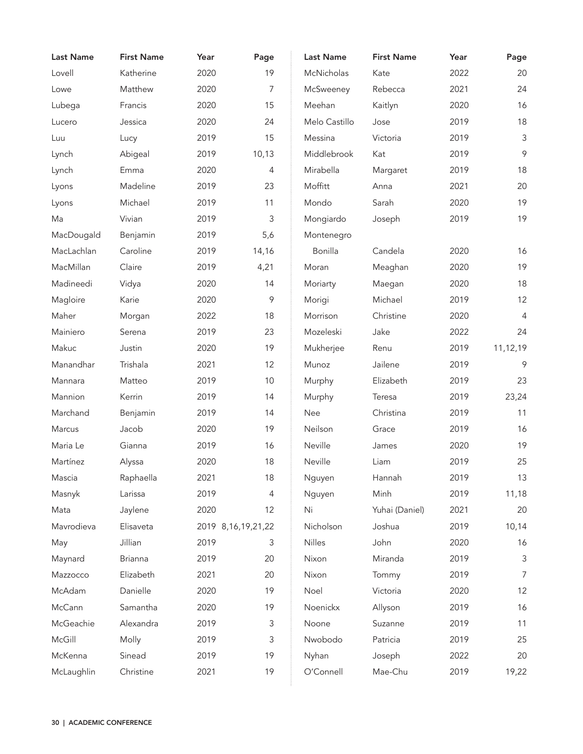| <b>Last Name</b> | <b>First Name</b> | Year | Page                   | <b>Last Name</b> | <b>First Name</b> | Year | Page           |
|------------------|-------------------|------|------------------------|------------------|-------------------|------|----------------|
| Lovell           | Katherine         | 2020 | 19                     | McNicholas       | Kate              | 2022 | 20             |
| Lowe             | Matthew           | 2020 | 7                      | McSweeney        | Rebecca           | 2021 | 24             |
| Lubega           | Francis           | 2020 | 15                     | Meehan           | Kaitlyn           | 2020 | 16             |
| Lucero           | Jessica           | 2020 | 24                     | Melo Castillo    | Jose              | 2019 | 18             |
| Luu              | Lucy              | 2019 | 15                     | Messina          | Victoria          | 2019 | $\mathfrak{Z}$ |
| Lynch            | Abigeal           | 2019 | 10,13                  | Middlebrook      | Kat               | 2019 | $\mathcal{P}$  |
| Lynch            | Emma              | 2020 | $\overline{4}$         | Mirabella        | Margaret          | 2019 | 18             |
| Lyons            | Madeline          | 2019 | 23                     | Moffitt          | Anna              | 2021 | 20             |
| Lyons            | Michael           | 2019 | 11                     | Mondo            | Sarah             | 2020 | 19             |
| Ma               | Vivian            | 2019 | 3                      | Mongiardo        | Joseph            | 2019 | 19             |
| MacDougald       | Benjamin          | 2019 | 5,6                    | Montenegro       |                   |      |                |
| MacLachlan       | Caroline          | 2019 | 14,16                  | Bonilla          | Candela           | 2020 | 16             |
| MacMillan        | Claire            | 2019 | 4,21                   | Moran            | Meaghan           | 2020 | 19             |
| Madineedi        | Vidya             | 2020 | 14                     | Moriarty         | Maegan            | 2020 | 18             |
| Magloire         | Karie             | 2020 | 9                      | Morigi           | Michael           | 2019 | 12             |
| Maher            | Morgan            | 2022 | 18                     | Morrison         | Christine         | 2020 | $\overline{4}$ |
| Mainiero         | Serena            | 2019 | 23                     | Mozeleski        | Jake              | 2022 | 24             |
| Makuc            | Justin            | 2020 | 19                     | Mukherjee        | Renu              | 2019 | 11,12,19       |
| Manandhar        | Trishala          | 2021 | 12                     | Munoz            | Jailene           | 2019 | 9              |
| Mannara          | Matteo            | 2019 | 10                     | Murphy           | Elizabeth         | 2019 | 23             |
| Mannion          | Kerrin            | 2019 | 14                     | Murphy           | Teresa            | 2019 | 23,24          |
| Marchand         | Benjamin          | 2019 | 14                     | Nee              | Christina         | 2019 | 11             |
| Marcus           | Jacob             | 2020 | 19                     | Neilson          | Grace             | 2019 | 16             |
| Maria Le         | Gianna            | 2019 | 16                     | Neville          | James             | 2020 | 19             |
| Martínez         | Alyssa            | 2020 | 18                     | Neville          | Liam              | 2019 | 25             |
| Mascia           | Raphaella         | 2021 | 18                     | Nguyen           | Hannah            | 2019 | 13             |
| Masnyk           | Larissa           | 2019 | 4                      | Nguyen           | Minh              | 2019 | 11,18          |
| Mata             | Jaylene           | 2020 | 12                     | Ni               | Yuhai (Daniel)    | 2021 | 20             |
| Mavrodieva       | Elisaveta         |      | 2019 8, 16, 19, 21, 22 | Nicholson        | Joshua            | 2019 | 10,14          |
| May              | Jillian           | 2019 | 3                      | Nilles           | John              | 2020 | 16             |
| Maynard          | <b>Brianna</b>    | 2019 | 20                     | Nixon            | Miranda           | 2019 | $\mathsf 3$    |
| Mazzocco         | Elizabeth         | 2021 | 20                     | Nixon            | Tommy             | 2019 | $\overline{7}$ |
| McAdam           | Danielle          | 2020 | 19                     | Noel             | Victoria          | 2020 | 12             |
| McCann           | Samantha          | 2020 | 19                     | Noenickx         | Allyson           | 2019 | 16             |
| McGeachie        | Alexandra         | 2019 | 3                      | Noone            | Suzanne           | 2019 | 11             |
| McGill           | Molly             | 2019 | 3                      | Nwobodo          | Patricia          | 2019 | 25             |
| McKenna          | Sinead            | 2019 | 19                     | Nyhan            | Joseph            | 2022 | 20             |
| McLaughlin       | Christine         | 2021 | 19                     | O'Connell        | Mae-Chu           | 2019 | 19,22          |
|                  |                   |      |                        |                  |                   |      |                |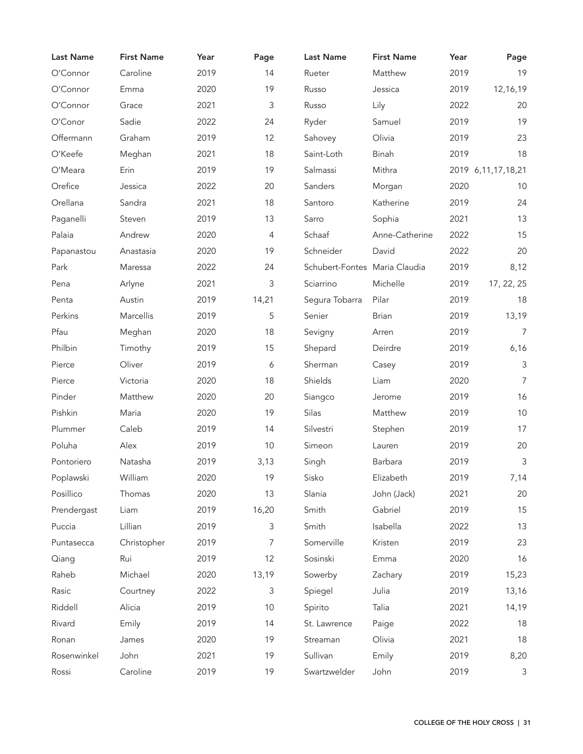| <b>Last Name</b> | <b>First Name</b> | Year | Page                      | <b>Last Name</b>              | <b>First Name</b> | Year | Page                   |
|------------------|-------------------|------|---------------------------|-------------------------------|-------------------|------|------------------------|
| O'Connor         | Caroline          | 2019 | 14                        | Rueter                        | Matthew           | 2019 | 19                     |
| O'Connor         | Emma              | 2020 | 19                        | Russo                         | Jessica           | 2019 | 12,16,19               |
| O'Connor         | Grace             | 2021 | 3                         | Russo                         | Lily              | 2022 | 20                     |
| O'Conor          | Sadie             | 2022 | 24                        | Ryder                         | Samuel            | 2019 | 19                     |
| Offermann        | Graham            | 2019 | 12                        | Sahovey                       | Olivia            | 2019 | 23                     |
| O'Keefe          | Meghan            | 2021 | 18                        | Saint-Loth                    | Binah             | 2019 | 18                     |
| O'Meara          | Erin              | 2019 | 19                        | Salmassi                      | Mithra            |      | 2019 6, 11, 17, 18, 21 |
| Orefice          | Jessica           | 2022 | 20                        | Sanders                       | Morgan            | 2020 | 10                     |
| Orellana         | Sandra            | 2021 | 18                        | Santoro                       | Katherine         | 2019 | 24                     |
| Paganelli        | Steven            | 2019 | 13                        | Sarro                         | Sophia            | 2021 | 13                     |
| Palaia           | Andrew            | 2020 | 4                         | Schaaf                        | Anne-Catherine    | 2022 | 15                     |
| Papanastou       | Anastasia         | 2020 | 19                        | Schneider                     | David             | 2022 | 20                     |
| Park             | Maressa           | 2022 | 24                        | Schubert-Fontes Maria Claudia |                   | 2019 | 8,12                   |
| Pena             | Arlyne            | 2021 | 3                         | Sciarrino                     | Michelle          | 2019 | 17, 22, 25             |
| Penta            | Austin            | 2019 | 14,21                     | Segura Tobarra                | Pilar             | 2019 | 18                     |
| Perkins          | Marcellis         | 2019 | 5                         | Senier                        | <b>Brian</b>      | 2019 | 13,19                  |
| Pfau             | Meghan            | 2020 | 18                        | Sevigny                       | Arren             | 2019 | $\overline{7}$         |
| Philbin          | Timothy           | 2019 | 15                        | Shepard                       | Deirdre           | 2019 | 6,16                   |
| Pierce           | Oliver            | 2019 | 6                         | Sherman                       | Casey             | 2019 | $\mathsf 3$            |
| Pierce           | Victoria          | 2020 | 18                        | Shields                       | Liam              | 2020 | $\overline{7}$         |
| Pinder           | Matthew           | 2020 | 20                        | Siangco                       | Jerome            | 2019 | 16                     |
| Pishkin          | Maria             | 2020 | 19                        | Silas                         | Matthew           | 2019 | 10                     |
| Plummer          | Caleb             | 2019 | 14                        | Silvestri                     | Stephen           | 2019 | 17                     |
| Poluha           | Alex              | 2019 | 10                        | Simeon                        | Lauren            | 2019 | 20                     |
| Pontoriero       | Natasha           | 2019 | 3,13                      | Singh                         | Barbara           | 2019 | 3                      |
| Poplawski        | William           | 2020 | 19                        | Sisko                         | Elizabeth         | 2019 | 7,14                   |
| Posillico        | Thomas            | 2020 | 13                        | Slania                        | John (Jack)       | 2021 | 20                     |
| Prendergast      | Liam              | 2019 | 16,20                     | Smith                         | Gabriel           | 2019 | 15                     |
| Puccia           | Lillian           | 2019 | $\ensuremath{\mathsf{3}}$ | Smith                         | Isabella          | 2022 | 13                     |
| Puntasecca       | Christopher       | 2019 | 7                         | Somerville                    | Kristen           | 2019 | 23                     |
| Qiang            | Rui               | 2019 | 12                        | Sosinski                      | Emma              | 2020 | 16                     |
| Raheb            | Michael           | 2020 | 13,19                     | Sowerby                       | Zachary           | 2019 | 15,23                  |
| Rasic            | Courtney          | 2022 | 3                         | Spiegel                       | Julia             | 2019 | 13,16                  |
| Riddell          | Alicia            | 2019 | 10                        | Spirito                       | Talia             | 2021 | 14,19                  |
| Rivard           | Emily             | 2019 | 14                        | St. Lawrence                  | Paige             | 2022 | 18                     |
| Ronan            | James             | 2020 | 19                        | Streaman                      | Olivia            | 2021 | 18                     |
| Rosenwinkel      | John              | 2021 | 19                        | Sullivan                      | Emily             | 2019 | 8,20                   |
| Rossi            | Caroline          | 2019 | 19                        | Swartzwelder                  | John              | 2019 | 3                      |